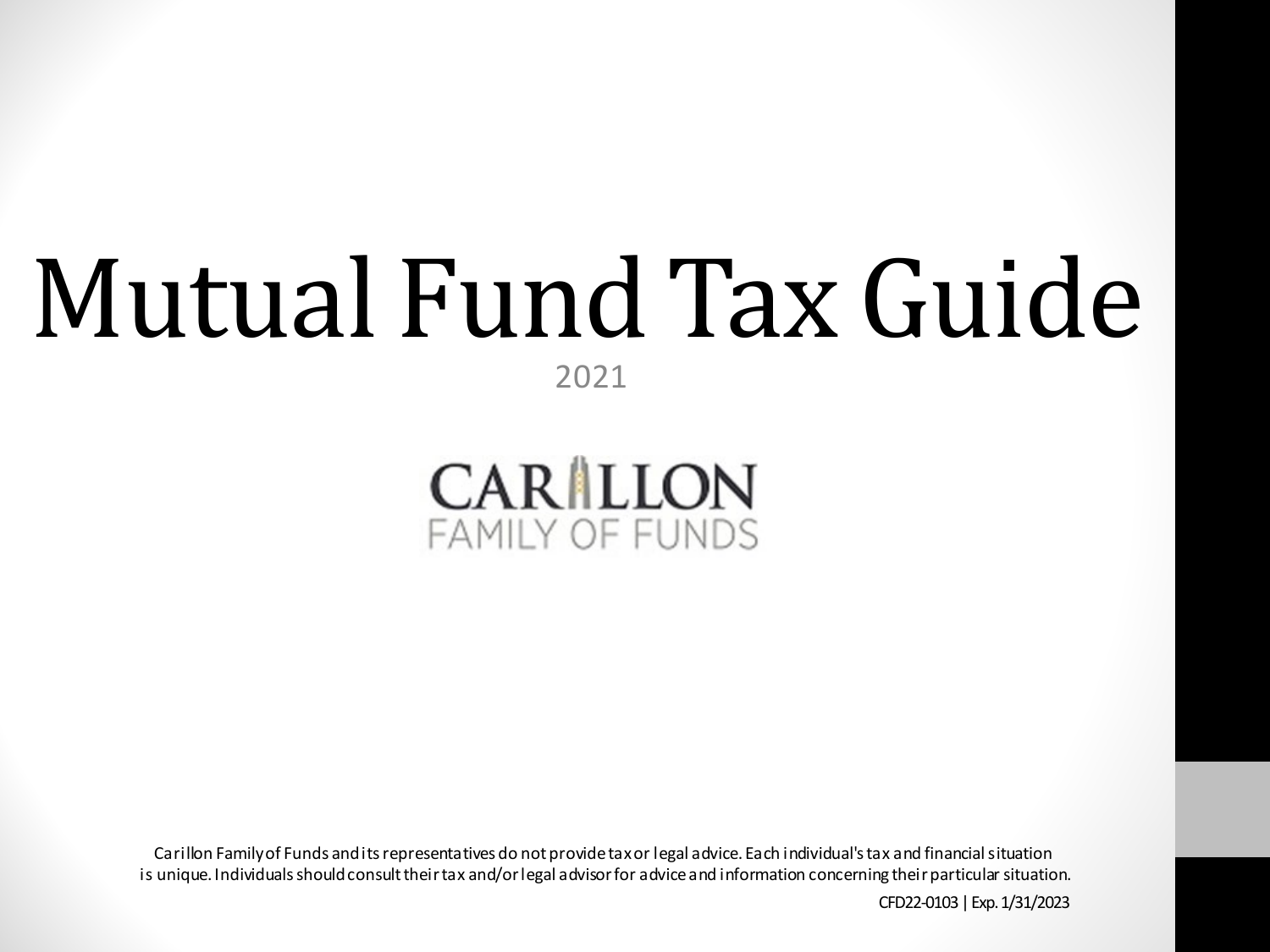# Mutual Fund Tax Guide

2021



Carillon Familyof Funds and its representatives do not provide tax or legal advice. Each individual'stax and financial situation is unique. Individuals should consult their tax and/or legal advisor for advice and information concerning their particular situation.

CFD22-0103 | Exp. 1/31/2023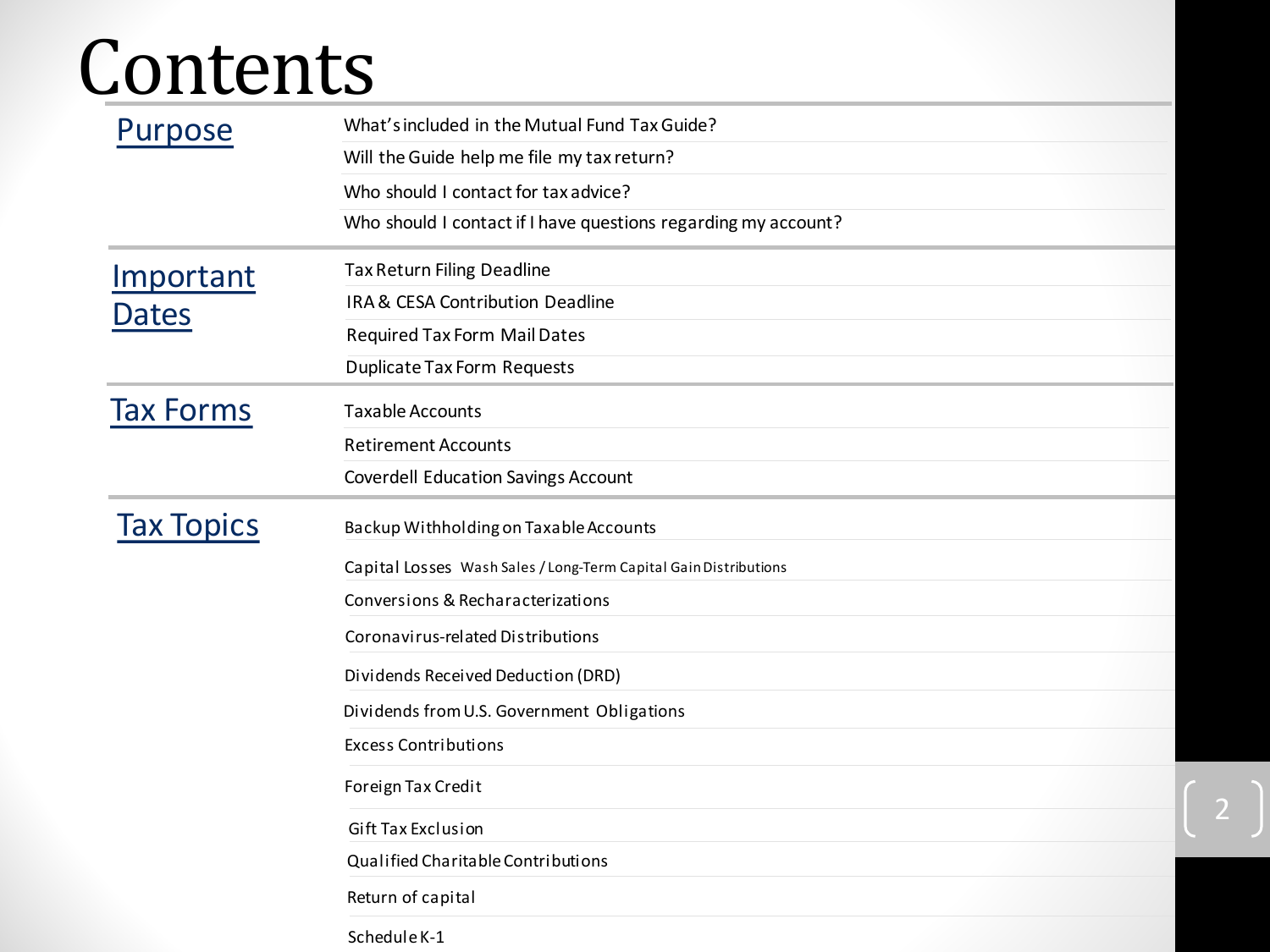# Contents

| Purpose           | What's included in the Mutual Fund Tax Guide?                    |  |  |  |  |  |  |
|-------------------|------------------------------------------------------------------|--|--|--|--|--|--|
|                   | Will the Guide help me file my tax return?                       |  |  |  |  |  |  |
|                   | Who should I contact for tax advice?                             |  |  |  |  |  |  |
|                   | Who should I contact if I have questions regarding my account?   |  |  |  |  |  |  |
| Important         | Tax Return Filing Deadline                                       |  |  |  |  |  |  |
| <b>Dates</b>      | IRA & CESA Contribution Deadline                                 |  |  |  |  |  |  |
|                   | <b>Required Tax Form Mail Dates</b>                              |  |  |  |  |  |  |
|                   | <b>Duplicate Tax Form Requests</b>                               |  |  |  |  |  |  |
| <b>Tax Forms</b>  | <b>Taxable Accounts</b>                                          |  |  |  |  |  |  |
|                   | <b>Retirement Accounts</b>                                       |  |  |  |  |  |  |
|                   | <b>Coverdell Education Savings Account</b>                       |  |  |  |  |  |  |
| <b>Tax Topics</b> | Backup Withholding on Taxable Accounts                           |  |  |  |  |  |  |
|                   | Capital Losses Wash Sales / Long-Term Capital Gain Distributions |  |  |  |  |  |  |
|                   | Conversions & Recharacterizations                                |  |  |  |  |  |  |
|                   | Coronavirus-related Distributions                                |  |  |  |  |  |  |
|                   | Dividends Received Deduction (DRD)                               |  |  |  |  |  |  |
|                   | Dividends from U.S. Government Obligations                       |  |  |  |  |  |  |
|                   | <b>Excess Contributions</b>                                      |  |  |  |  |  |  |
|                   | Foreign Tax Credit                                               |  |  |  |  |  |  |
|                   | Gift Tax Exclusion                                               |  |  |  |  |  |  |
|                   | Qualified Charitable Contributions                               |  |  |  |  |  |  |
|                   | Return of capital                                                |  |  |  |  |  |  |
|                   | Schedule K-1                                                     |  |  |  |  |  |  |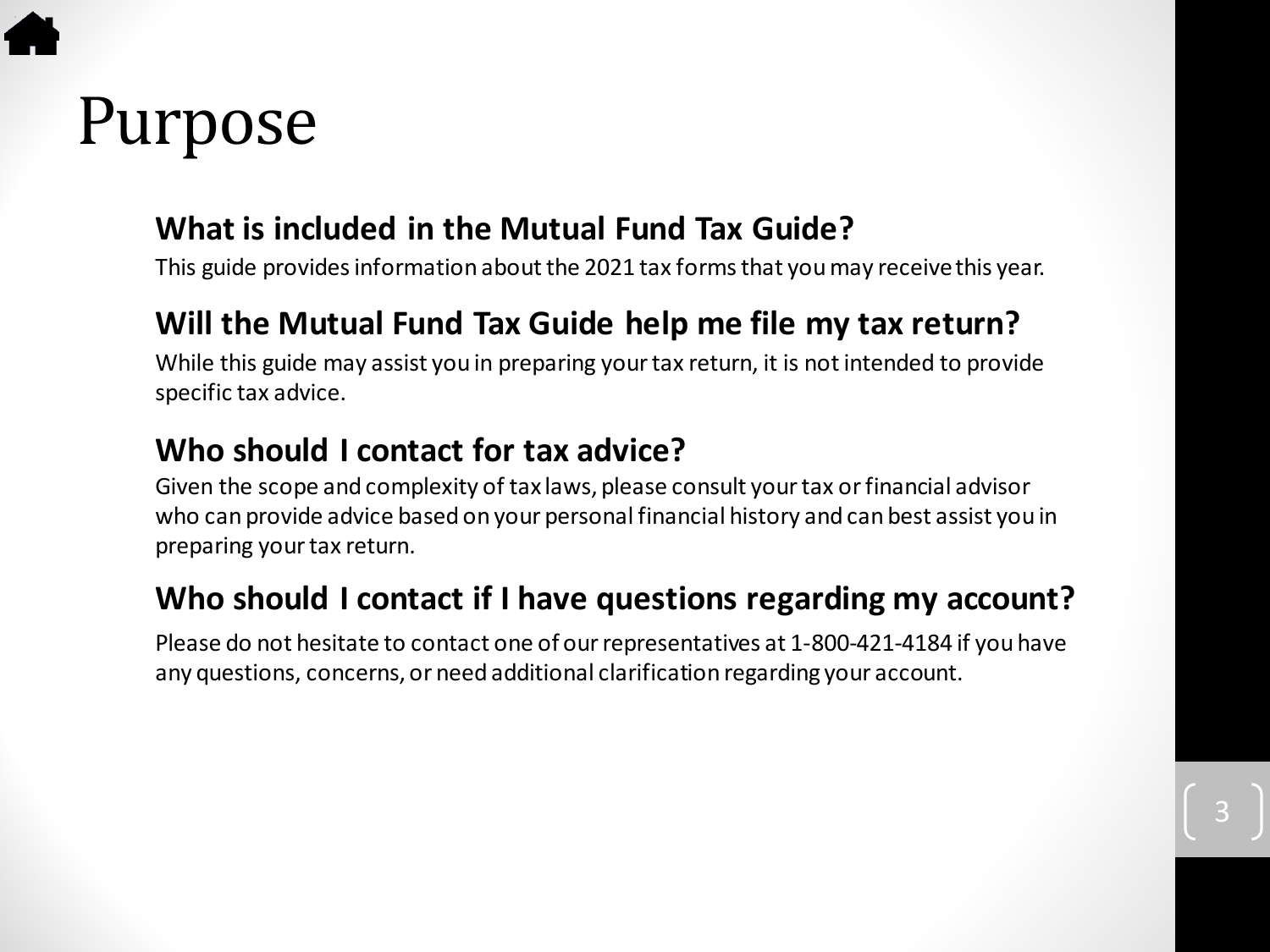# <span id="page-2-0"></span>Purpose

#### **What is included in the Mutual Fund Tax Guide?**

This guide provides information about the 2021 tax forms that you may receive this year.

#### **Will the Mutual Fund Tax Guide help me file my tax return?**

While this guide may assist you in preparing your tax return, it is not intended to provide specific tax advice.

#### **Who should I contact for tax advice?**

Given the scope and complexity of tax laws, please consult your tax or financial advisor who can provide advice based on your personal financial history and can best assist you in preparing your tax return.

#### **Who should I contact if I have questions regarding my account?**

Please do not hesitate to contact one of our representatives at 1-800-421-4184 if you have any questions, concerns, or need additional clarification regarding your account.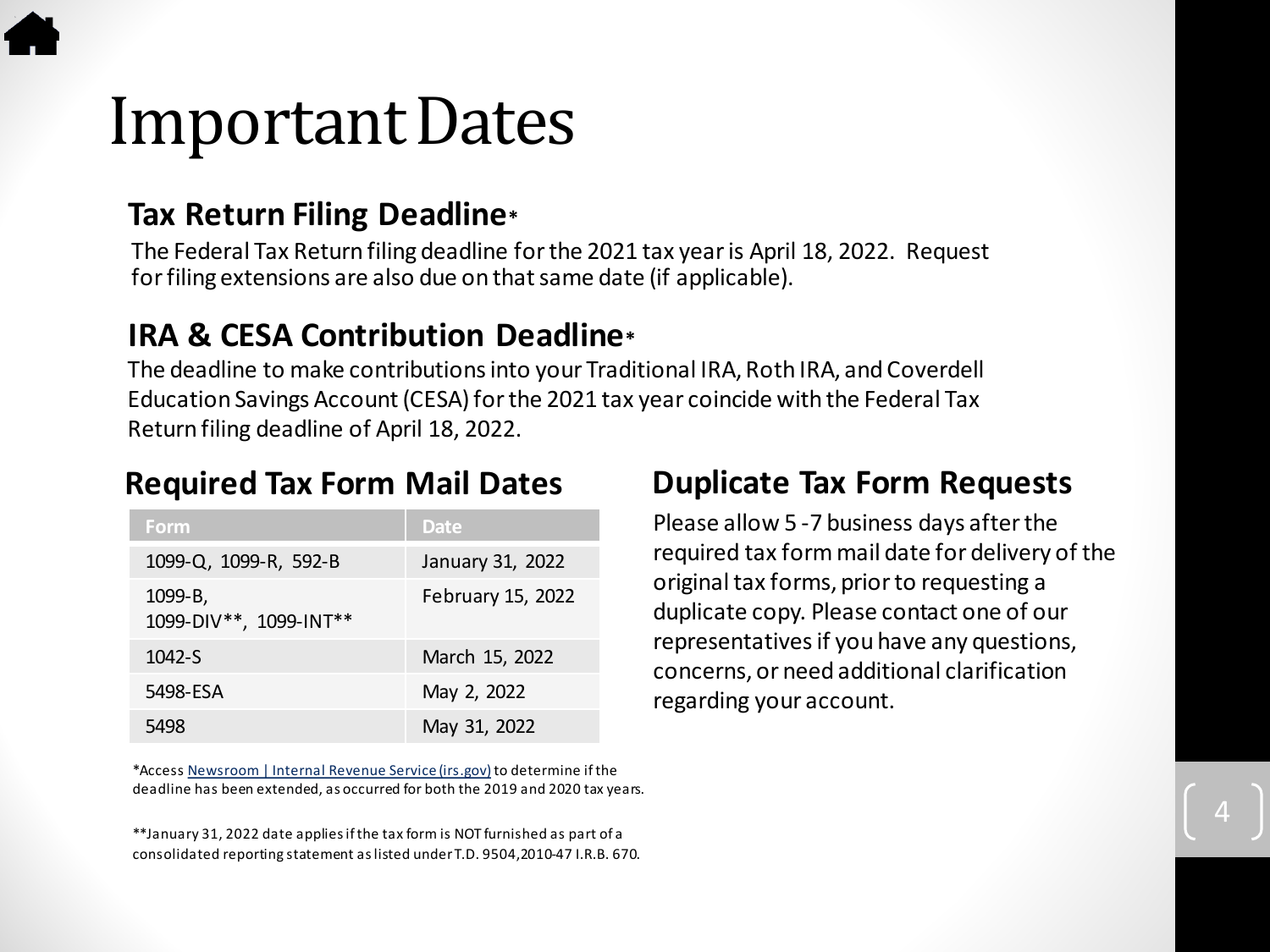### <span id="page-3-0"></span>Important Dates

#### **Tax Return Filing Deadline\***

The Federal Tax Return filing deadline for the 2021 tax year is April 18, 2022. Request for filing extensions are also due on that same date (if applicable).

#### **IRA & CESA Contribution Deadline\***

The deadline to make contributions into your Traditional IRA, Roth IRA, and Coverdell Education Savings Account (CESA) for the 2021 tax year coincide with the Federal Tax Return filing deadline of April 18, 2022.

#### **Required Tax Form Mail Dates**

| Form                              | Date              |
|-----------------------------------|-------------------|
| 1099-Q, 1099-R, 592-B             | January 31, 2022  |
| 1099-B,<br>1099-DIV**, 1099-INT** | February 15, 2022 |
| $1042-S$                          | March 15, 2022    |
| 5498-ESA                          | May 2, 2022       |
| 5498                              | May 31, 2022      |

\*Access [Newsroom | Internal Revenue Service \(irs.gov\)](https://www.irs.gov/newsroom) to determine if the deadline has been extended, as occurred for both the 2019 and 2020 tax years.

\*\*January 31, 2022 date applies if the tax form is NOT furnished as part of a consolidated reporting statement as listed under T.D. 9504,2010-47 I.R.B. 670.

#### **Duplicate Tax Form Requests**

Please allow 5 -7 business days after the required tax form mail date for delivery of the original tax forms, prior to requesting a duplicate copy. Please contact one of our representatives if you have any questions, concerns, or need additional clarification regarding your account.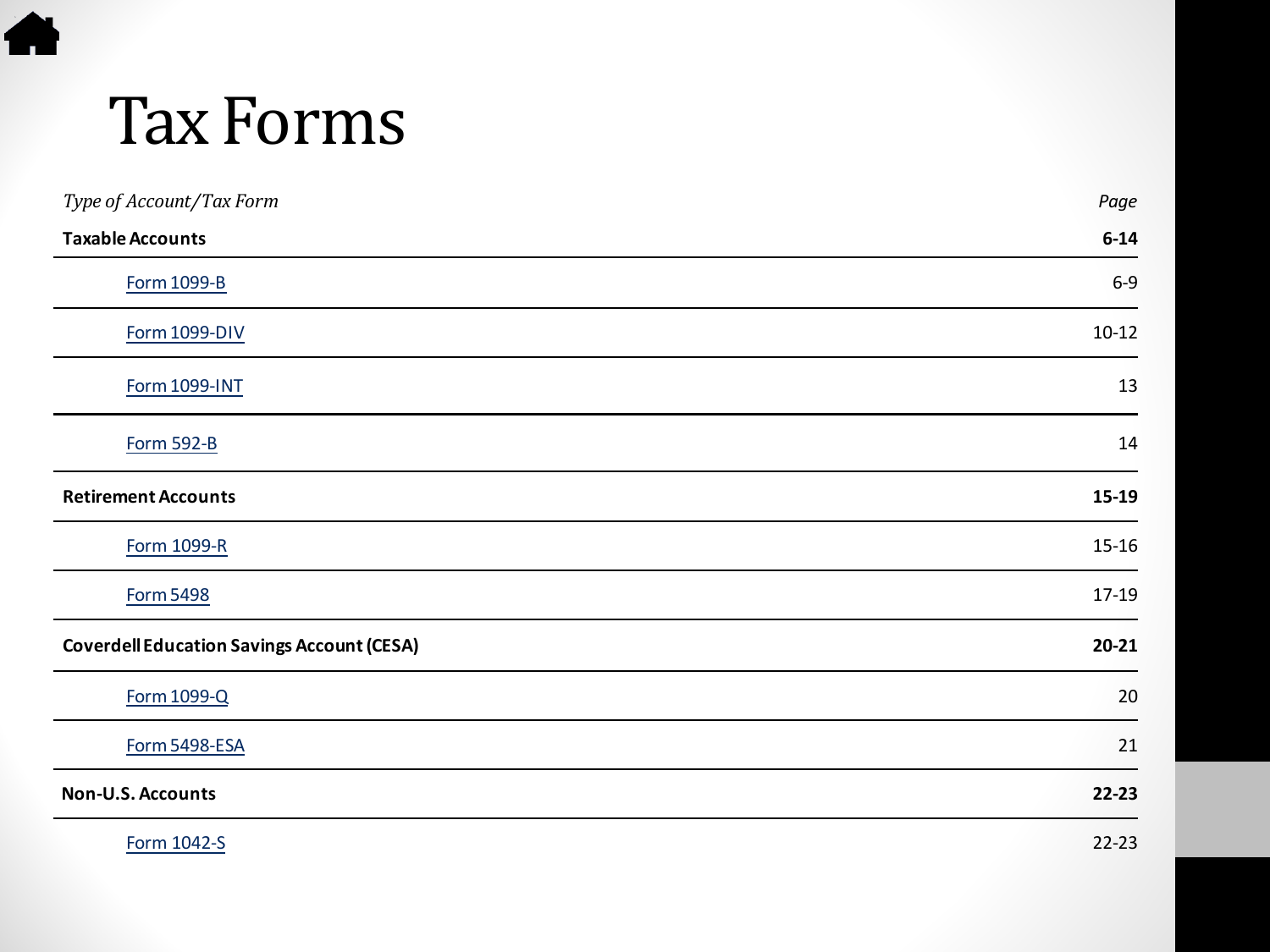# Tax Forms

<span id="page-4-0"></span>4

| Type of Account/Tax Form                          | Page      |
|---------------------------------------------------|-----------|
| <b>Taxable Accounts</b>                           | $6 - 14$  |
| <b>Form 1099-B</b>                                | $6-9$     |
| <b>Form 1099-DIV</b>                              | $10-12$   |
| <b>Form 1099-INT</b>                              | 13        |
| <b>Form 592-B</b>                                 | 14        |
| <b>Retirement Accounts</b>                        | 15-19     |
| Form 1099-R                                       | $15 - 16$ |
| <b>Form 5498</b>                                  | 17-19     |
| <b>Coverdell Education Savings Account (CESA)</b> | $20 - 21$ |
| <b>Form 1099-Q</b>                                | 20        |
| Form 5498-ESA                                     | 21        |
| Non-U.S. Accounts                                 | $22 - 23$ |
| Form 1042-S                                       | $22 - 23$ |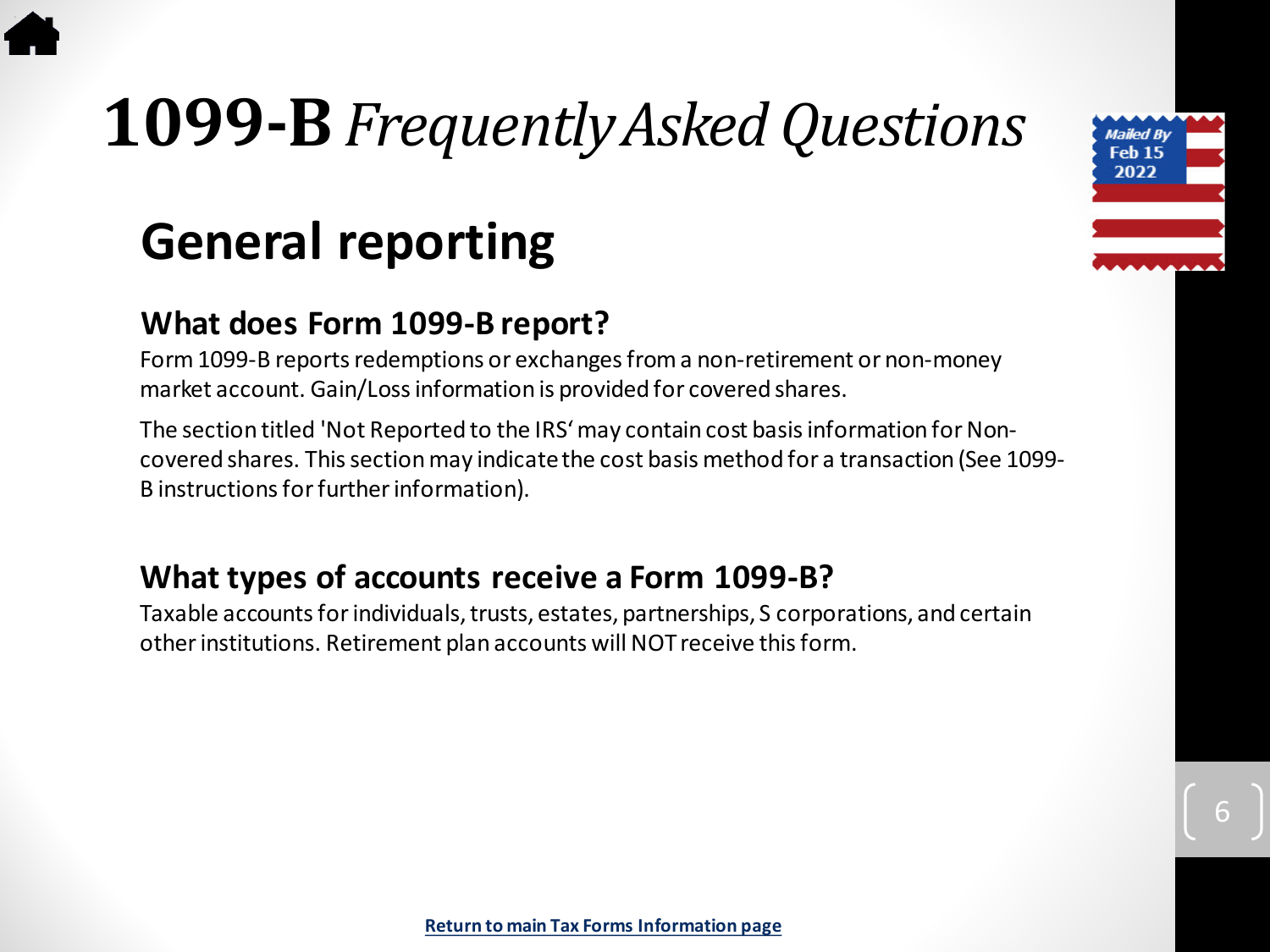# <span id="page-5-0"></span>**1099-B***Frequently Asked Questions*

### **General reporting**

#### **What does Form 1099-B report?**

Form 1099-B reports redemptions or exchanges from a non-retirement or non-money market account. Gain/Loss information is provided for covered shares.

The section titled 'Not Reported to the IRS' may contain cost basis information for Noncovered shares. This section may indicate the cost basis method for a transaction (See 1099- B instructions for further information).

#### **What types of accounts receive a Form 1099-B?**

Taxable accounts for individuals, trusts, estates, partnerships, S corporations, and certain other institutions. Retirement plan accounts will NOT receive this form.

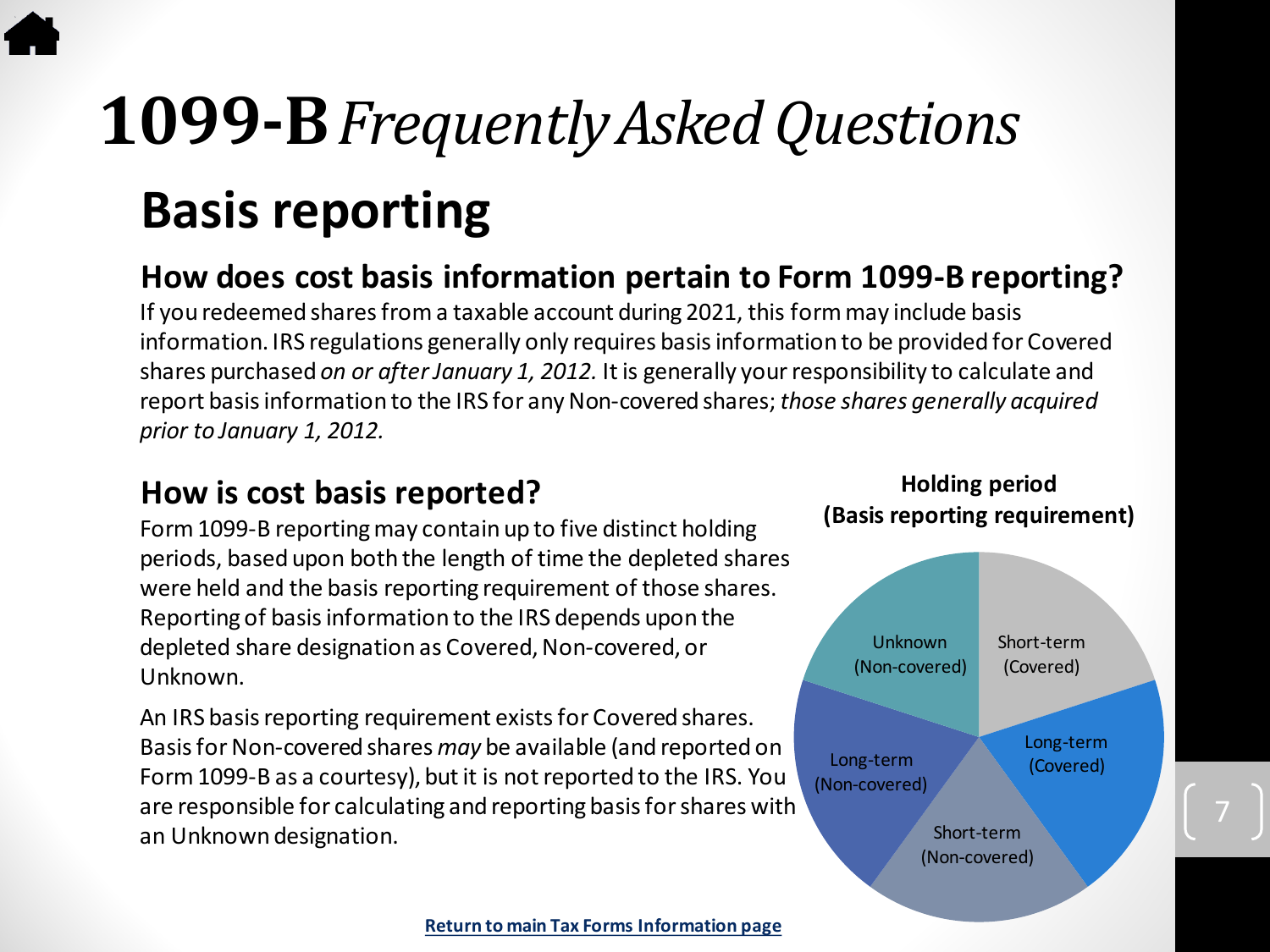### **1099-B***Frequently Asked Questions* **Basis reporting**

#### **How does cost basis information pertain to Form 1099-B reporting?**

If you redeemed shares from a taxable account during 2021, this form may include basis information. IRS regulations generally only requires basis information to be provided for Covered shares purchased *on or after January 1, 2012.* It is generally your responsibility to calculate and report basis information to the IRS for any Non-covered shares; *those shares generally acquired prior to January 1, 2012.* 

#### **How is cost basis reported?**

Form 1099-B reporting may contain up to five distinct holding periods, based upon both the length of time the depleted shares were held and the basis reporting requirement of those shares. Reporting of basis information to the IRS depends upon the depleted share designation as Covered, Non-covered, or Unknown.

An IRS basis reporting requirement exists for Covered shares. Basis for Non-covered shares *may* be available (and reported on Form 1099-B as a courtesy), but it is not reported to the IRS. You are responsible for calculating and reporting basis for shares with an Unknown designation.

#### **Holding period (Basis reporting requirement)**

Short-term (Covered) Unknown (Non-covered)

Long-term (Non-covered) Long-term

(Covered)

Short-term (Non-covered)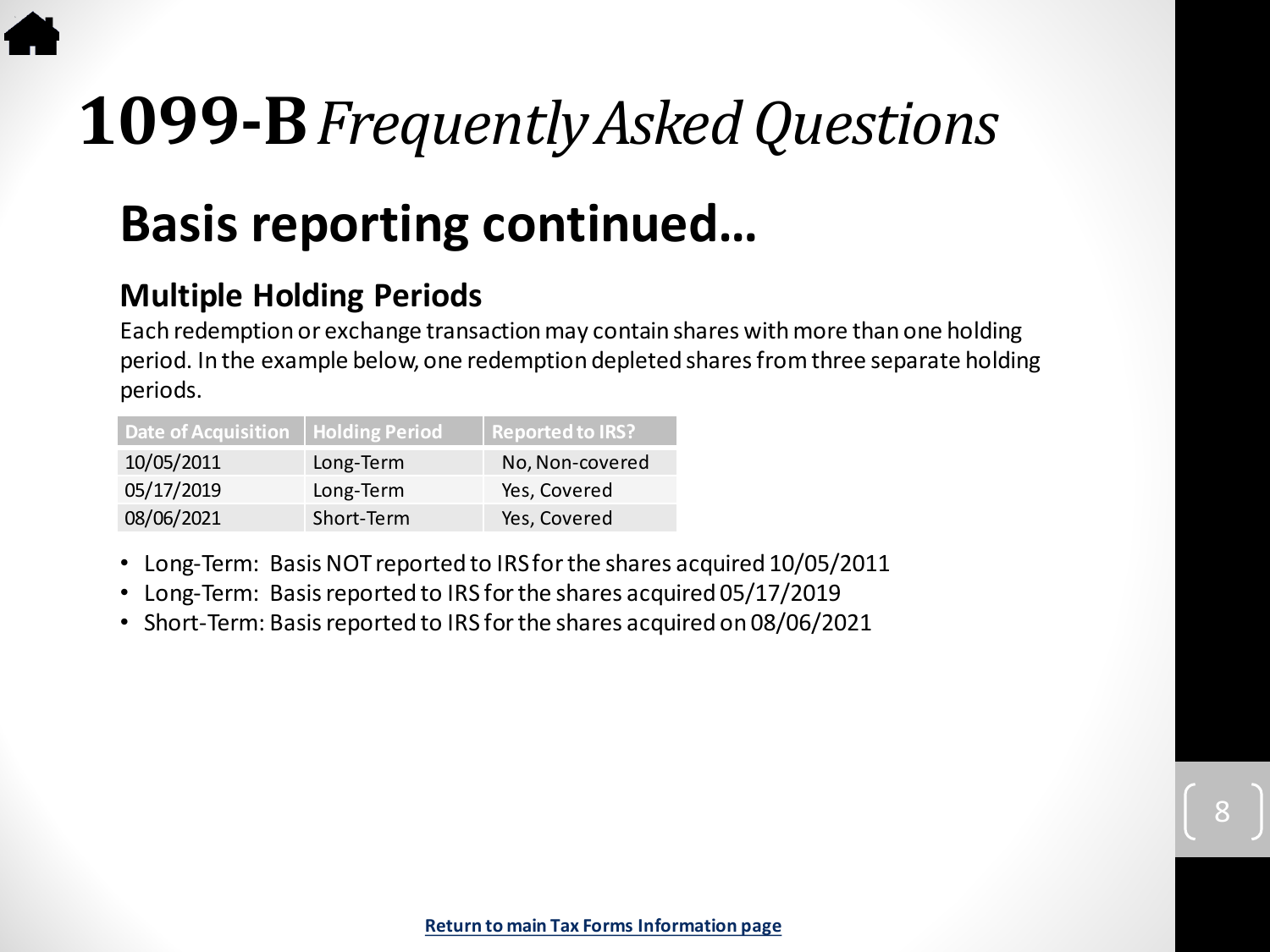# **1099-B***Frequently Asked Questions*

### **Basis reporting continued…**

#### **Multiple Holding Periods**

Each redemption or exchange transaction may contain shares with more than one holding period. In the example below, one redemption depleted shares from three separate holding periods.

| Date of Acquisition   Holding Period |            | <b>Reported to IRS?</b> |
|--------------------------------------|------------|-------------------------|
| 10/05/2011                           | Long-Term  | No, Non-covered         |
| 05/17/2019                           | Long-Term  | Yes, Covered            |
| 08/06/2021                           | Short-Term | Yes, Covered            |

- Long-Term: Basis NOT reported to IRS for the shares acquired 10/05/2011
- Long-Term: Basis reported to IRS for the shares acquired 05/17/2019
- Short-Term: Basis reported to IRS for the shares acquired on 08/06/2021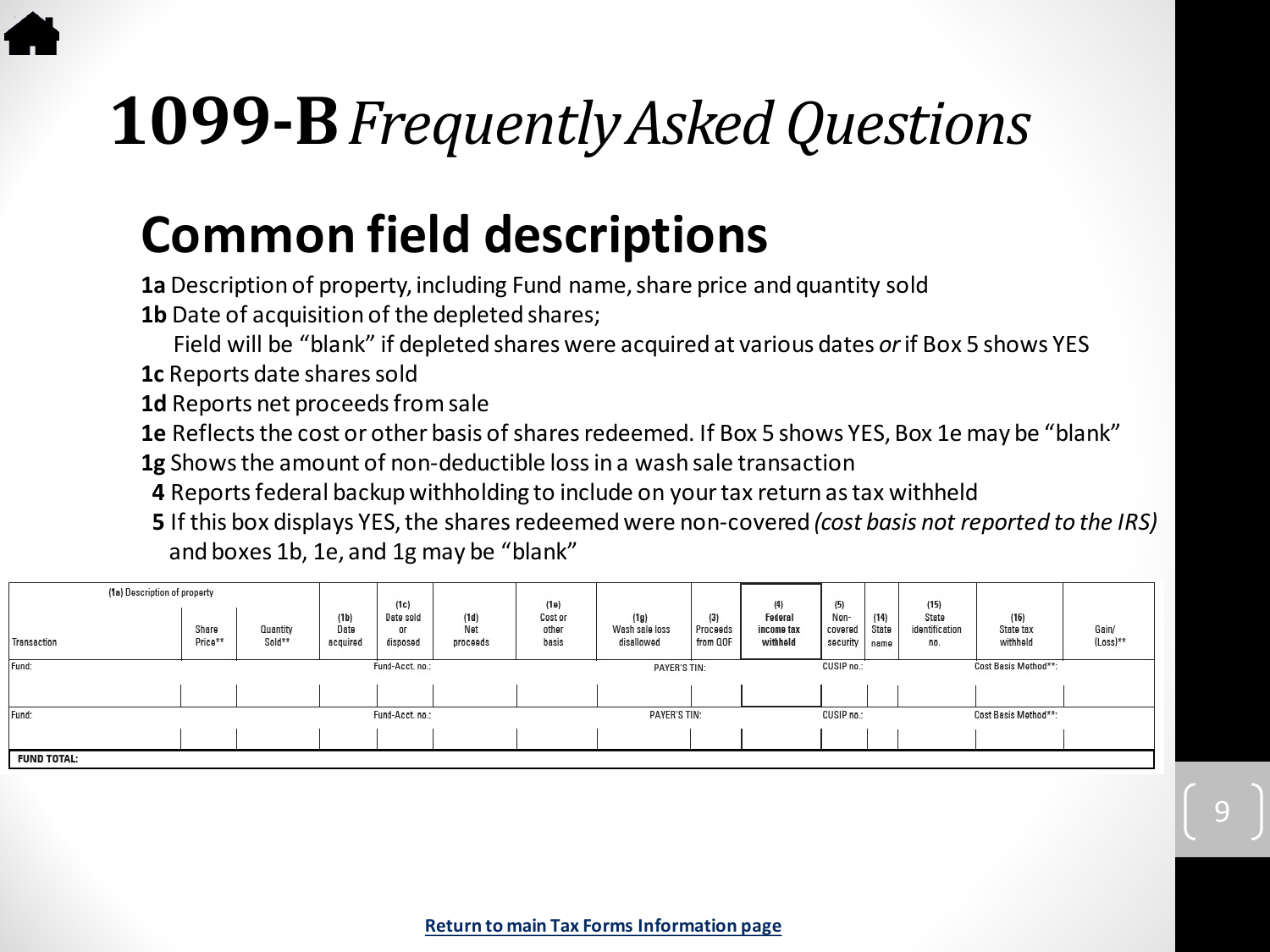# **1099-B***Frequently Asked Questions*

### **Common field descriptions**

**1a** Description of property, including Fund name, share price and quantity sold

**1b** Date of acquisition of the depleted shares;

Field will be "blank" if depleted shares were acquired at various dates *or*if Box 5 shows YES

**1c** Reports date shares sold

**1d** Reports net proceeds from sale

**1e** Reflects the cost or other basis of shares redeemed. If Box 5 shows YES, Box 1e may be "blank"

**1g** Shows the amount of non-deductible loss in a wash sale transaction

**4** Reports federal backup withholding to include on your tax return as tax withheld

**5** If this box displays YES, the shares redeemed were non-covered *(cost basis not reported to the IRS)*  and boxes 1b, 1e, and 1g may be "blank"

9

| (1a) Description of property |                  |                    |                          | (1c)                        |                         | (1e)                                                      |                                      |                             | (4)<br>(5)                        |                             |                       |                                | (15)                          |                   |  |
|------------------------------|------------------|--------------------|--------------------------|-----------------------------|-------------------------|-----------------------------------------------------------|--------------------------------------|-----------------------------|-----------------------------------|-----------------------------|-----------------------|--------------------------------|-------------------------------|-------------------|--|
| Transaction                  | Share<br>Price** | Quantity<br>Sold** | (1b)<br>Date<br>acquired | Date sold<br>01<br>disposed | (1d)<br>Net<br>proceeds | Cost or<br>other<br>basis                                 | (1g)<br>Wash sale loss<br>disallowed | (3)<br>Proceeds<br>from QOF | Federal<br>income tax<br>withheld | Non-<br>covered<br>security | (14)<br>State<br>name | State<br>identification<br>no. | (16)<br>State tax<br>withheld | Gain/<br>(Loss)** |  |
| Fund:                        | Fund-Acct.no.:   |                    |                          |                             | <b>PAYER'S TIN:</b>     |                                                           |                                      | CUSIP no.:                  |                                   |                             | Cost Basis Method**:  |                                |                               |                   |  |
|                              |                  |                    |                          |                             |                         |                                                           |                                      |                             |                                   |                             |                       |                                |                               |                   |  |
| Fund-Acct.no.:<br>Fund:      |                  |                    |                          |                             |                         | <b>PAYER'S TIN:</b><br>Cost Basis Method**:<br>CUSIP no.: |                                      |                             |                                   |                             |                       |                                |                               |                   |  |
|                              |                  |                    |                          |                             |                         |                                                           |                                      |                             |                                   |                             |                       |                                |                               |                   |  |
| <b>FUND TOTAL:</b>           |                  |                    |                          |                             |                         |                                                           |                                      |                             |                                   |                             |                       |                                |                               |                   |  |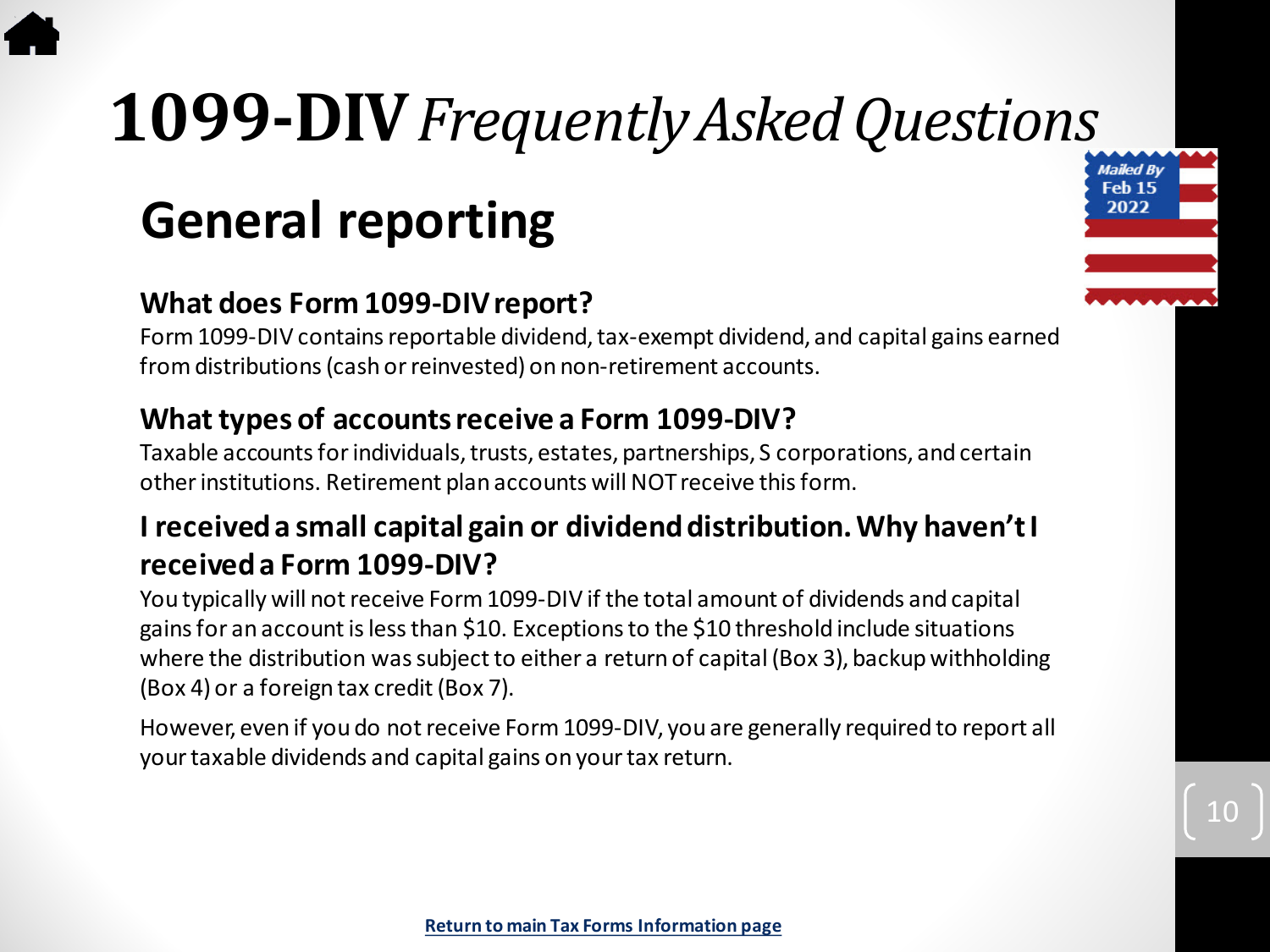# <span id="page-9-0"></span>**1099-DIV***Frequently Asked Questions*

### **General reporting**

#### **What does Form 1099-DIV report?**

Form 1099-DIV contains reportable dividend, tax-exempt dividend, and capital gains earned from distributions (cash or reinvested) on non-retirement accounts.

#### **What types of accounts receive a Form 1099-DIV?**

Taxable accounts for individuals, trusts, estates, partnerships, S corporations, and certain other institutions. Retirement plan accounts will NOT receive this form.

#### **I received a small capital gain or dividend distribution. Why haven't I received a Form 1099-DIV?**

You typically will not receive Form 1099-DIV if the total amount of dividends and capital gains for an account is less than \$10. Exceptions to the \$10 threshold include situations where the distribution was subject to either a return of capital (Box 3), backup withholding (Box 4) or a foreign tax credit (Box 7).

However, even if you do not receive Form 1099-DIV, you are generally required to report all your taxable dividends and capital gains on your tax return.

Mailed By Feb<sub>15</sub> 2022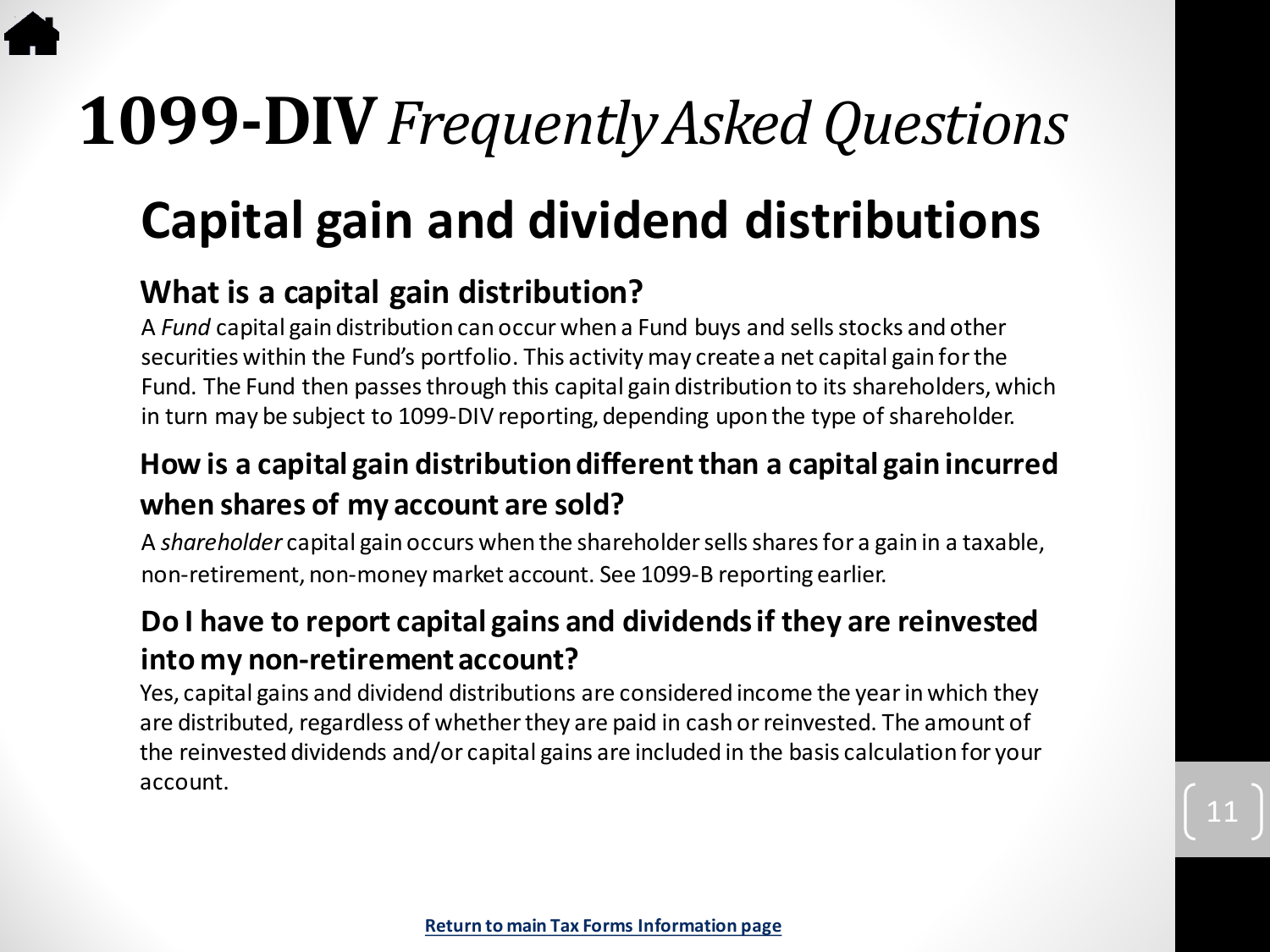# **1099-DIV***Frequently Asked Questions*

### **Capital gain and dividend distributions**

#### **What is a capital gain distribution?**

A *Fund* capital gain distribution can occur when a Fund buys and sells stocks and other securities within the Fund's portfolio. This activity may create a net capital gain for the Fund. The Fund then passes through this capital gain distribution to its shareholders, which in turn may be subject to 1099-DIV reporting, depending upon the type of shareholder.

#### **How is a capital gain distribution different than a capital gain incurred when shares of my account are sold?**

A *shareholder* capital gain occurs when the shareholder sells shares for a gain in a taxable, non-retirement, non-money market account. See 1099-B reporting earlier.

#### **Do I have to report capital gains and dividends if they are reinvested into my non-retirement account?**

Yes, capital gains and dividend distributions are considered income the year in which they are distributed, regardless of whether they are paid in cash or reinvested. The amount of the reinvested dividends and/or capital gains are included in the basis calculation for your account.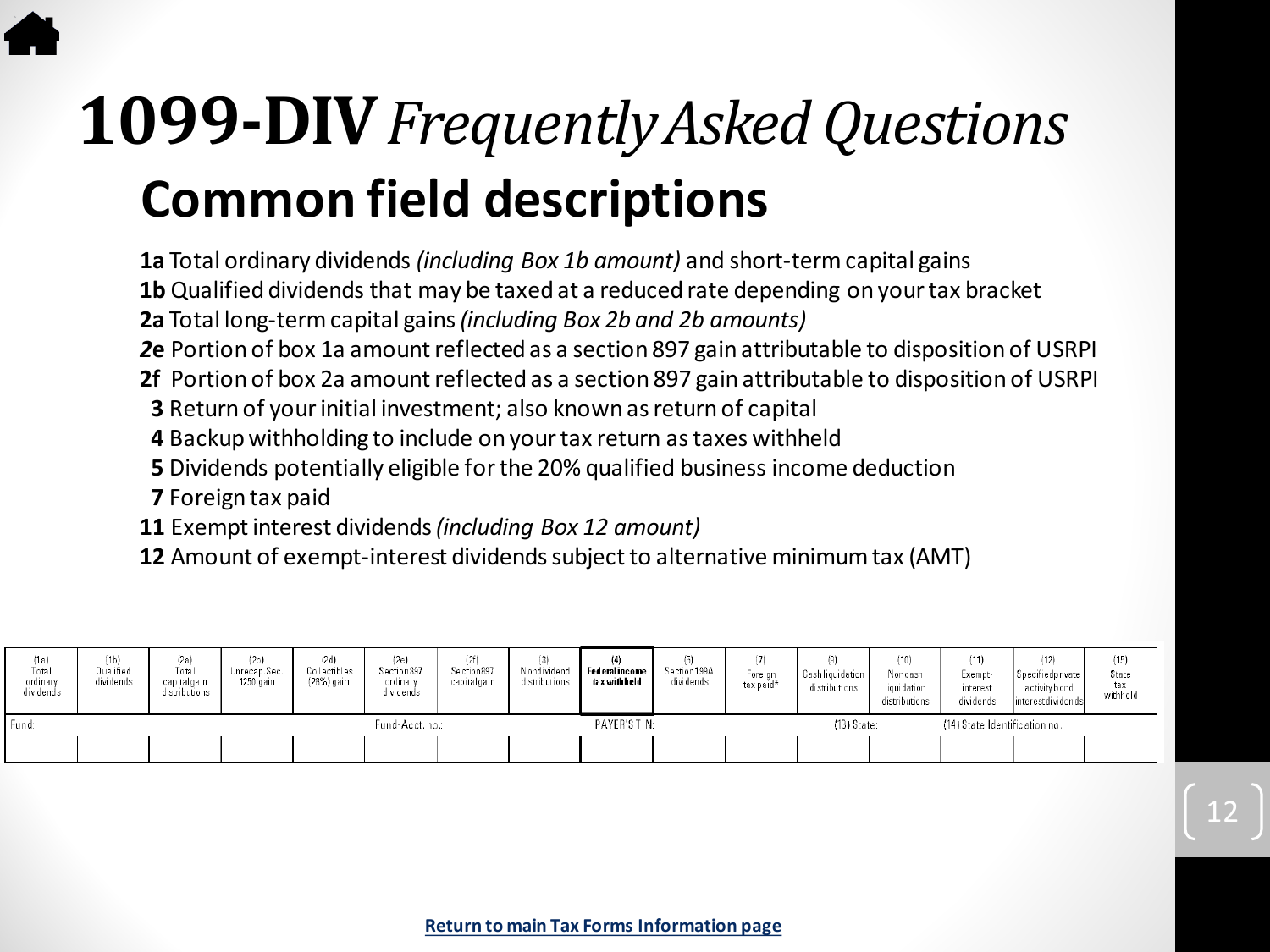### **Common field descriptions 1099-DIV***Frequently Asked Questions*

**1a** Total ordinary dividends *(including Box 1b amount)* and short-term capital gains

**1b** Qualified dividends that may be taxed at a reduced rate depending on your tax bracket

- **2a** Total long-term capital gains *(including Box 2b and 2b amounts)*
- *2***e** Portion of box 1a amount reflected as a section 897 gain attributable to disposition of USRPI
- **2f** Portion of box 2a amount reflected as a section 897 gain attributable to disposition of USRPI
- **3** Return of your initial investment; also known as return of capital
- **4** Backup withholding to include on your tax return as taxes withheld
- **5** Dividends potentially eligible for the 20% qualified business income deduction
- **7** Foreign tax paid
- **11** Exempt interest dividends *(including Box 12 amount)*
- **12** Amount of exempt-interest dividends subject to alternative minimum tax (AMT)

| (1a)<br>Total<br>ordinary<br>dividends | (1b)<br>Qualified<br>dividends | (2a)<br>Total<br>capitalgain<br>distributions | (2b)<br>Unrecap.Sec.<br>1250 gain | (2d)<br>Collectibles<br>(28%) gain | (2e)<br>Section 897<br>ordinary<br>dividends | (2f)<br>Section 897<br>capitalgain | Nondividend<br>distributions | Federal income<br>tax with held | Section 199A<br>dividends | Foreign<br>tax paid* | (9)<br>Cashliquidation<br>distributions | (10)<br>Noncash<br>liquidation<br>distributions | (11)<br>Exempt-<br>interest<br>dividends | (12)<br>Specifiedprivate<br>activity bond<br>interestdividends | (15)<br>State<br>tax<br>withheld |
|----------------------------------------|--------------------------------|-----------------------------------------------|-----------------------------------|------------------------------------|----------------------------------------------|------------------------------------|------------------------------|---------------------------------|---------------------------|----------------------|-----------------------------------------|-------------------------------------------------|------------------------------------------|----------------------------------------------------------------|----------------------------------|
| Fund:                                  |                                |                                               |                                   |                                    | Fund-Acct.no.:                               |                                    |                              | PAYER'S TIN:                    |                           |                      | $(13)$ State:                           |                                                 | (14) State Identification no.:           |                                                                |                                  |
|                                        |                                |                                               |                                   |                                    |                                              |                                    |                              |                                 |                           |                      |                                         |                                                 |                                          |                                                                |                                  |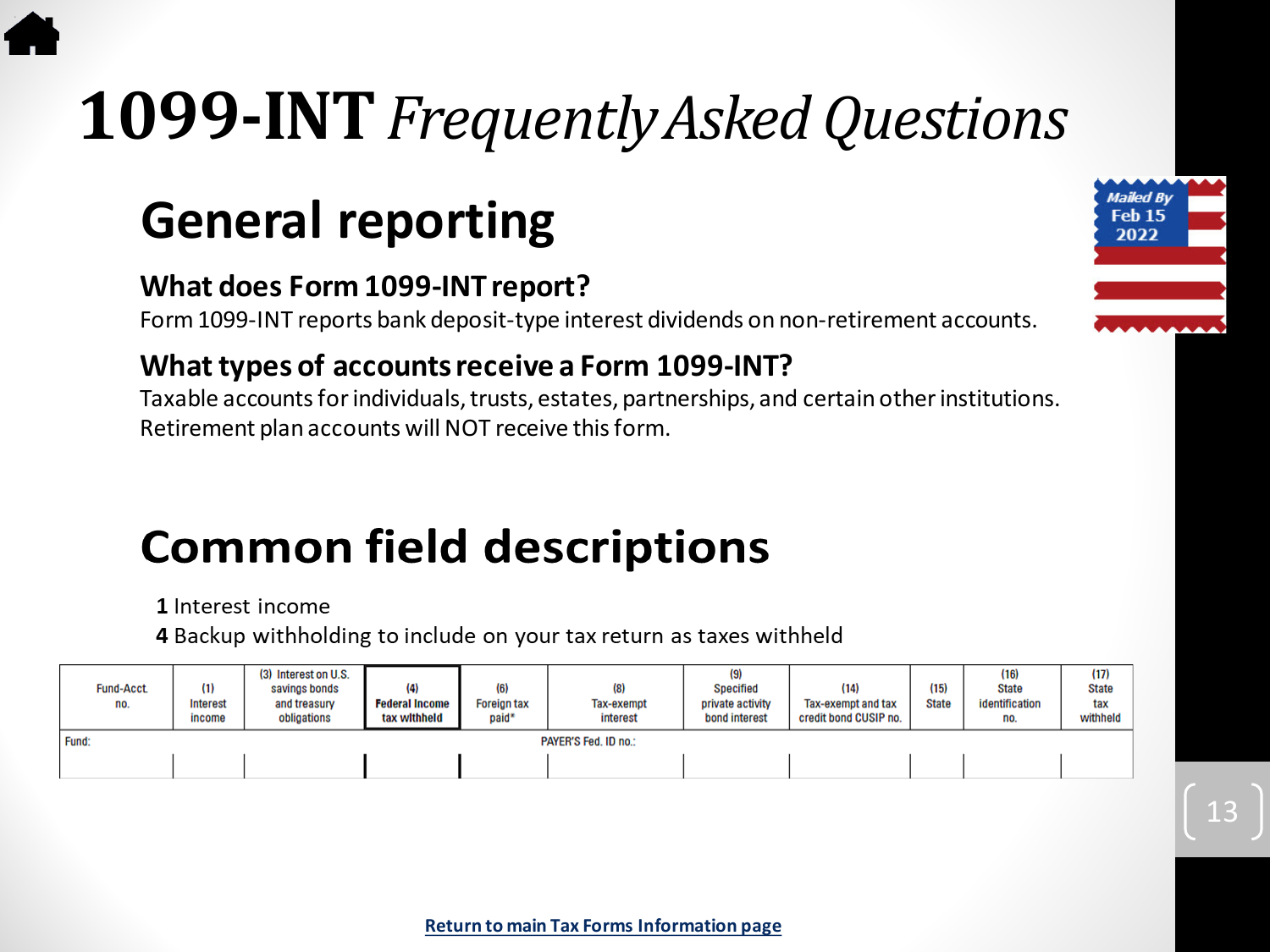# <span id="page-12-0"></span>**1099-INT***Frequently Asked Questions*

### **General reporting**

#### **What does Form 1099-INT report?**

Form 1099-INT reports bank deposit-type interest dividends on non-retirement accounts.

#### **What types of accounts receive a Form 1099-INT?**

Taxable accounts for individuals, trusts, estates, partnerships, and certain other institutions. Retirement plan accounts will NOT receive this form.

### **Common field descriptions**

1 Interest income

4 Backup withholding to include on your tax return as taxes withheld

| <b>Fund-Acct.</b><br>no. | (1)<br><b>Interest</b><br>income | (3) Interest on U.S.<br>savings bonds<br>and treasury<br>obligations | (4)<br><b>Federal Income</b><br>tax withheld | (6)<br><b>Foreign tax</b><br>paid* | (8)<br>Tax-exempt<br>interest | (9)<br>Specified<br>private activity<br>bond interest | (14)<br>Tax-exempt and tax<br>credit bond CUSIP no. | (15)<br><b>State</b> | (16)<br><b>State</b><br>identification<br>no. | (17)<br><b>State</b><br>tax<br>withheld |
|--------------------------|----------------------------------|----------------------------------------------------------------------|----------------------------------------------|------------------------------------|-------------------------------|-------------------------------------------------------|-----------------------------------------------------|----------------------|-----------------------------------------------|-----------------------------------------|
| Fund:                    |                                  |                                                                      |                                              |                                    | PAYER'S Fed. ID no.:          |                                                       |                                                     |                      |                                               |                                         |
|                          |                                  |                                                                      |                                              |                                    |                               |                                                       |                                                     |                      |                                               |                                         |

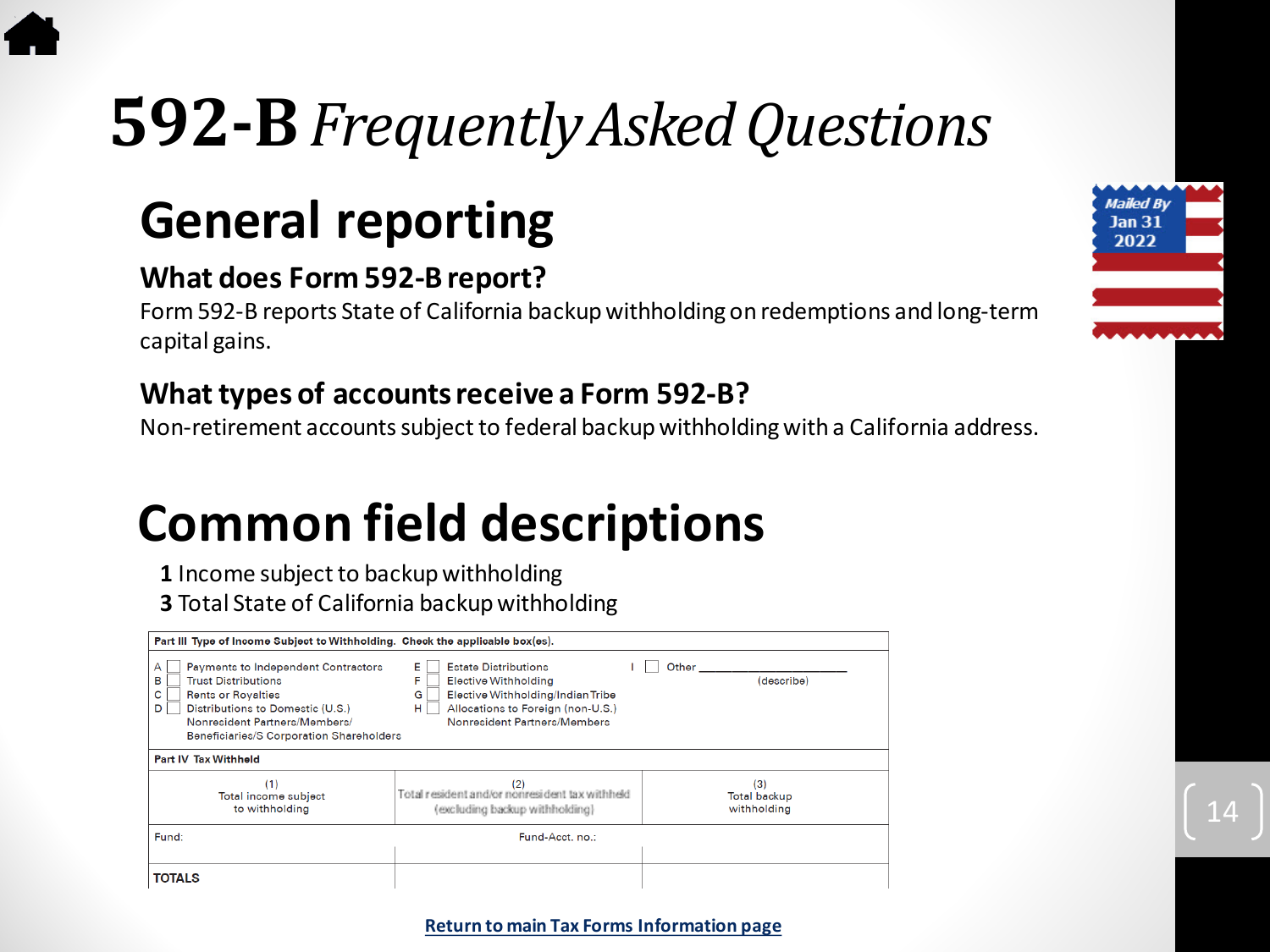# <span id="page-13-0"></span>**592-B***Frequently Asked Questions*

### **General reporting**

#### **What does Form 592-B report?**

Form 592-B reports State of California backup withholding on redemptions and long-term capital gains.

#### **What types of accounts receive a Form 592-B?**

Non-retirement accounts subject to federal backupwithholding with a California address.

### **Common field descriptions**

**1** Income subject to backup withholding

**3** Total State of California backup withholding

| Part III Type of Income Subject to Withholding. Check the applicable box(es).                                                                                                                                                              |                                                                                                                                                                                           |                                           |  |  |  |  |  |  |  |  |
|--------------------------------------------------------------------------------------------------------------------------------------------------------------------------------------------------------------------------------------------|-------------------------------------------------------------------------------------------------------------------------------------------------------------------------------------------|-------------------------------------------|--|--|--|--|--|--|--|--|
| Payments to Independent Contractors<br>A<br><b>Trust Distributions</b><br>в<br>c<br><b>Rents or Royalties</b><br>Distributions to Domestic (U.S.)<br>D<br>Nonresident Partners/Members/<br><b>Beneficiaries/S Corporation Shareholders</b> | <b>Estate Distributions</b><br>E.<br><b>Elective Withholding</b><br>F<br>Elective Withholding/Indian Tribe<br>G<br>Allocations to Foreign (non-U.S.)<br>н<br>Nonresident Partners/Members | Other<br>(describe)                       |  |  |  |  |  |  |  |  |
| <b>Part IV Tax Withheld</b>                                                                                                                                                                                                                |                                                                                                                                                                                           |                                           |  |  |  |  |  |  |  |  |
| (1)<br>Total income subject<br>to withholding                                                                                                                                                                                              | (2)<br>Total resident and/or nonresident tax withheld<br>(excluding backup withholding)                                                                                                   | (3)<br><b>Total backup</b><br>withholding |  |  |  |  |  |  |  |  |
| Fund:                                                                                                                                                                                                                                      | Fund-Acct. no.:                                                                                                                                                                           |                                           |  |  |  |  |  |  |  |  |
| <b>TOTALS</b>                                                                                                                                                                                                                              |                                                                                                                                                                                           |                                           |  |  |  |  |  |  |  |  |





#### **[Return to main Tax Forms Information page](#page-4-0)**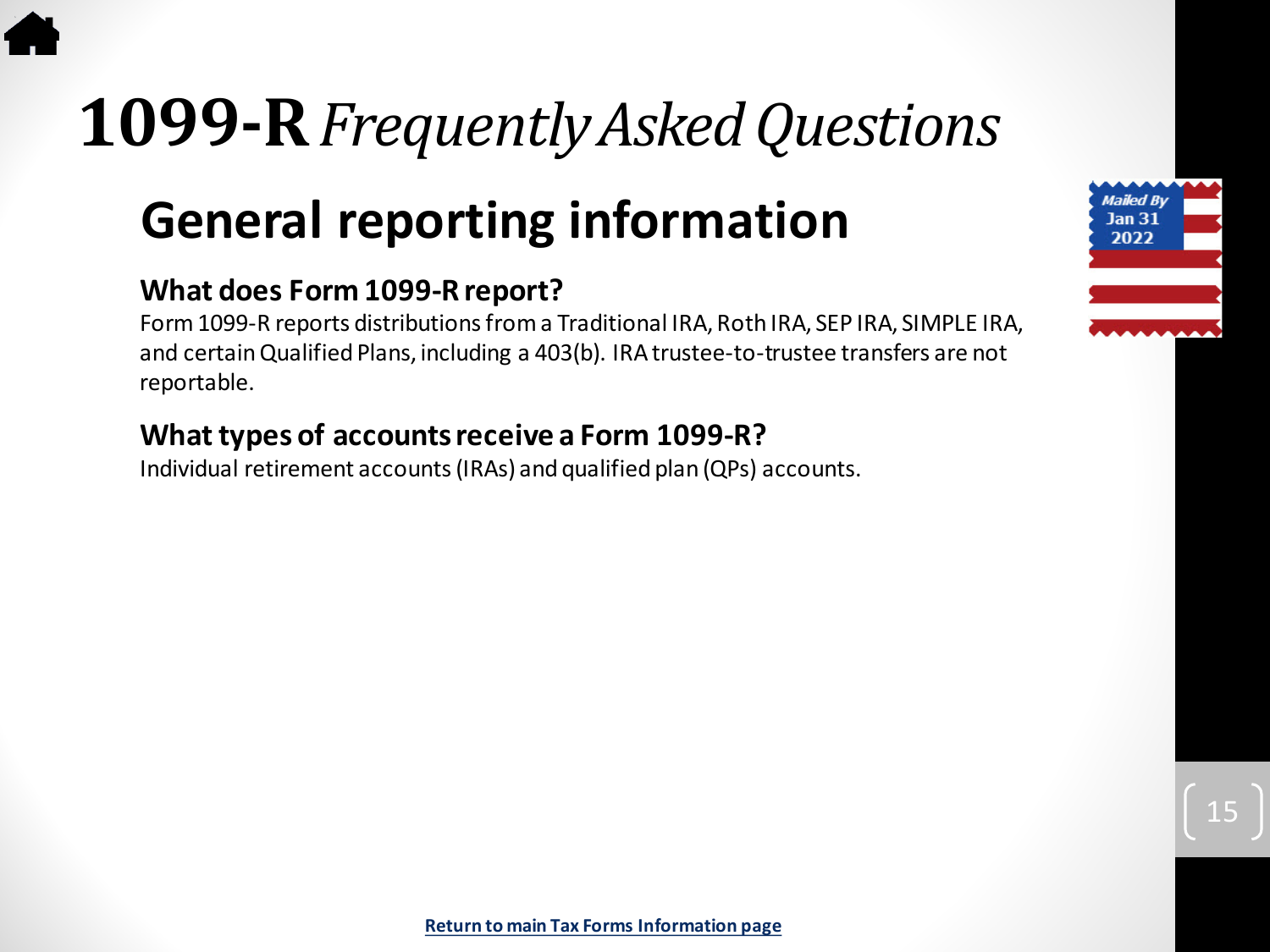# <span id="page-14-0"></span>**1099-R***Frequently Asked Questions*

### **General reporting information**

#### **What does Form 1099-R report?**

Form 1099-R reports distributions from a Traditional IRA, Roth IRA, SEP IRA, SIMPLE IRA, and certain Qualified Plans, including a 403(b). IRA trustee-to-trustee transfers are not reportable.

#### **What types of accounts receive a Form 1099-R?**

Individual retirement accounts (IRAs) and qualified plan (QPs) accounts.

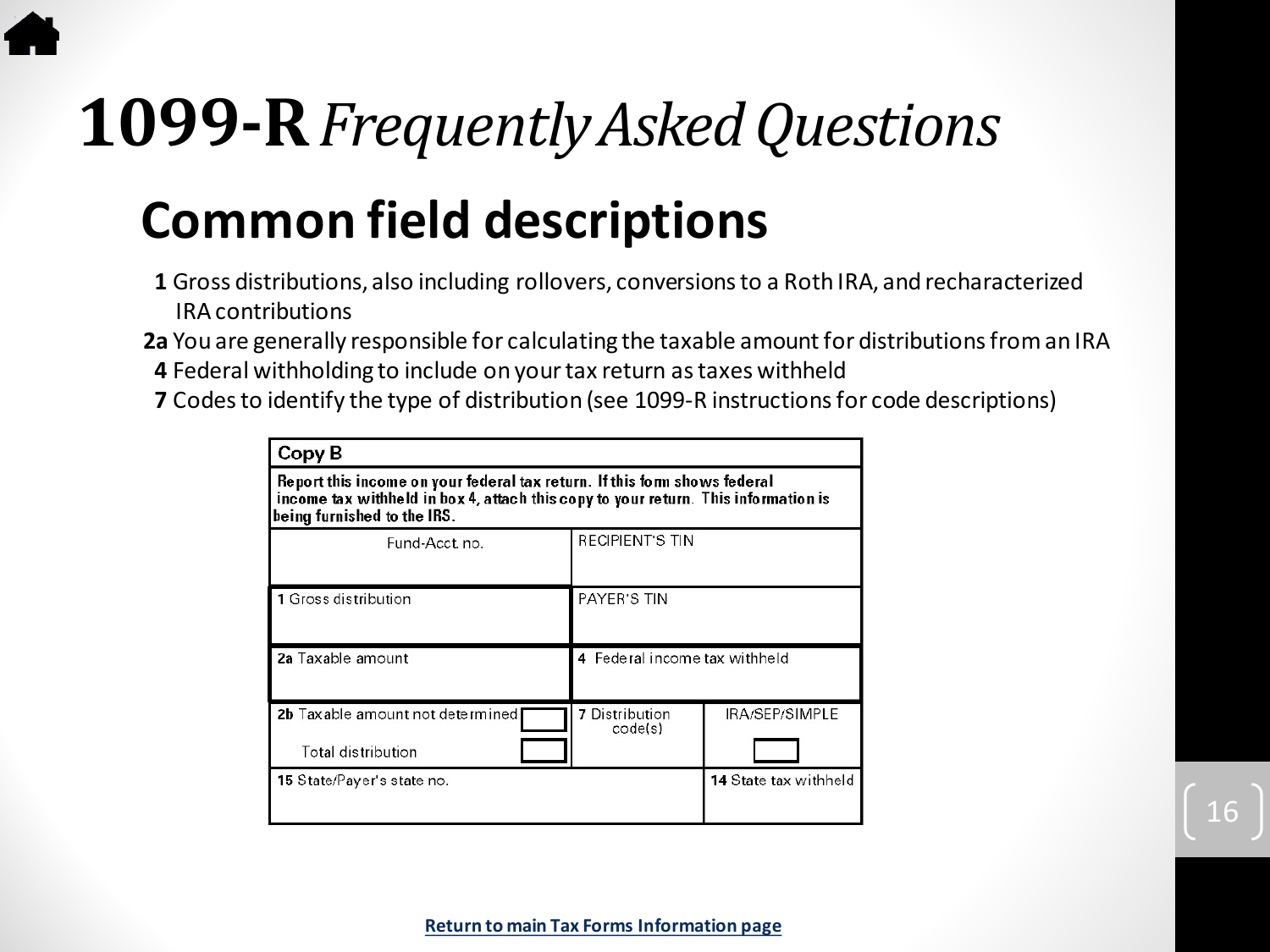# **1099-R***Frequently Asked Questions*

### **Common field descriptions**

- **1** Gross distributions, also including rollovers, conversions to a Roth IRA, and recharacterized IRA contributions
- **2a** You are generally responsible for calculating the taxable amount for distributions from an IRA **4** Federal withholding to include on your tax return as taxes withheld
- **7** Codes to identify the type of distribution (see 1099-R instructions for code descriptions)

| Copy B                                                                                                                                                                                         |                                  |                       |  |  |  |  |  |  |  |
|------------------------------------------------------------------------------------------------------------------------------------------------------------------------------------------------|----------------------------------|-----------------------|--|--|--|--|--|--|--|
| Report this income on your federal tax return. If this form shows federal<br>income tax withheld in box 4, attach this copy to your return. This information is<br>being furnished to the IRS. |                                  |                       |  |  |  |  |  |  |  |
| Fund-Acct.no.                                                                                                                                                                                  | <b>RECIPIENT'S TIN</b>           |                       |  |  |  |  |  |  |  |
| 1 Gross distribution                                                                                                                                                                           | PAYER'S TIN                      |                       |  |  |  |  |  |  |  |
| 2a Taxable amount                                                                                                                                                                              | 4 Federal income tax withheld    |                       |  |  |  |  |  |  |  |
| 2b Taxable amount not determined<br>Total distribution                                                                                                                                         | <b>7</b> Distribution<br>code(s) | IRA/SEP/SIMPLE        |  |  |  |  |  |  |  |
| <b>15 State/Payer's state no.</b>                                                                                                                                                              |                                  | 14 State tax withheld |  |  |  |  |  |  |  |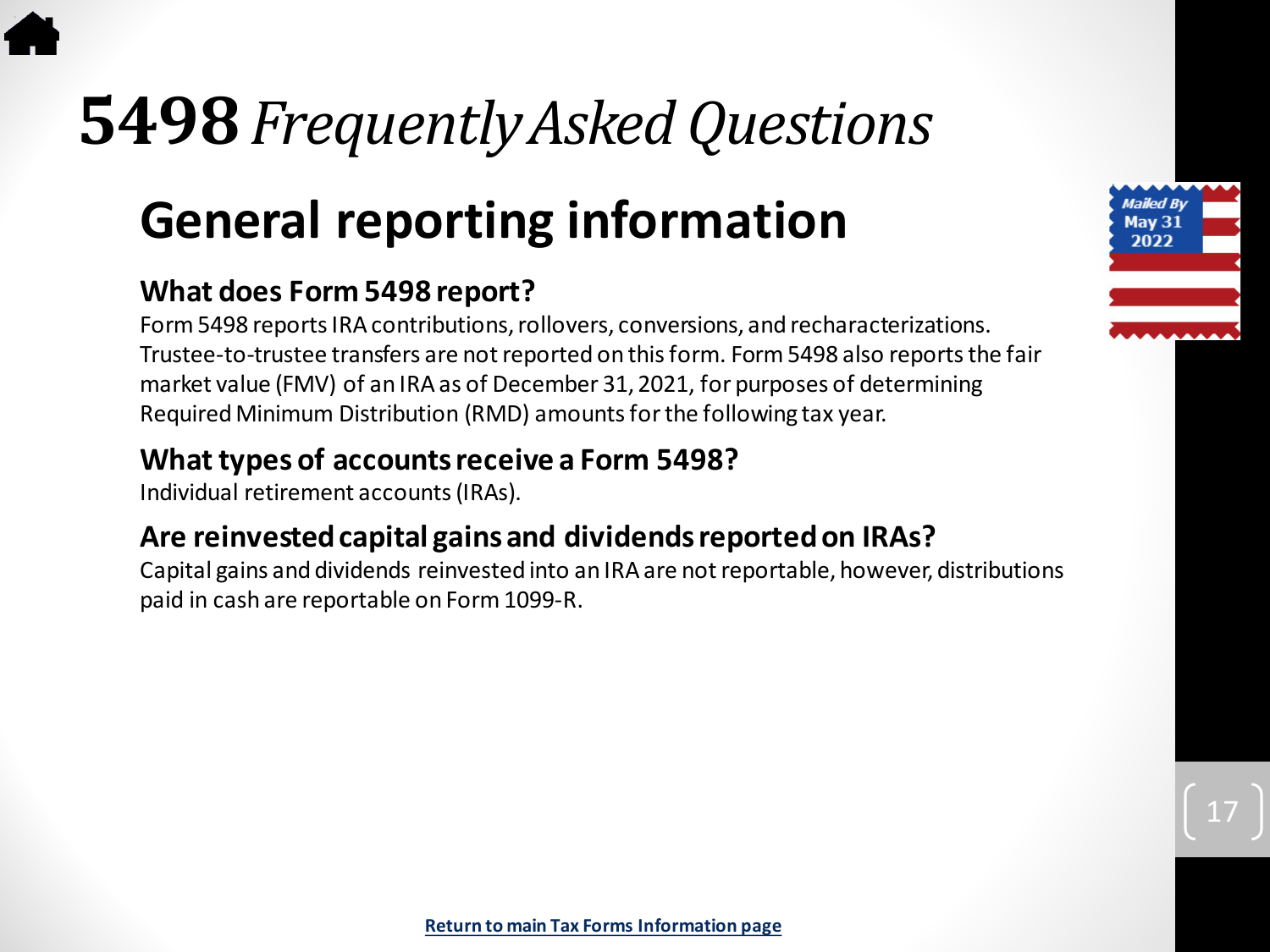# <span id="page-16-0"></span>**5498***Frequently Asked Questions*

### **General reporting information**

#### **What does Form 5498 report?**

Form 5498 reports IRA contributions, rollovers, conversions, and recharacterizations. Trustee-to-trustee transfers are not reported on this form. Form 5498 also reports the fair market value (FMV) of an IRA as of December 31, 2021, for purposes of determining Required Minimum Distribution (RMD) amounts for the following tax year.

#### **What types of accounts receive a Form 5498?**

Individual retirement accounts (IRAs).

#### **Are reinvested capital gains and dividends reported on IRAs?**

Capital gains and dividends reinvested into an IRA are not reportable, however, distributions paid in cash are reportable on Form 1099-R.

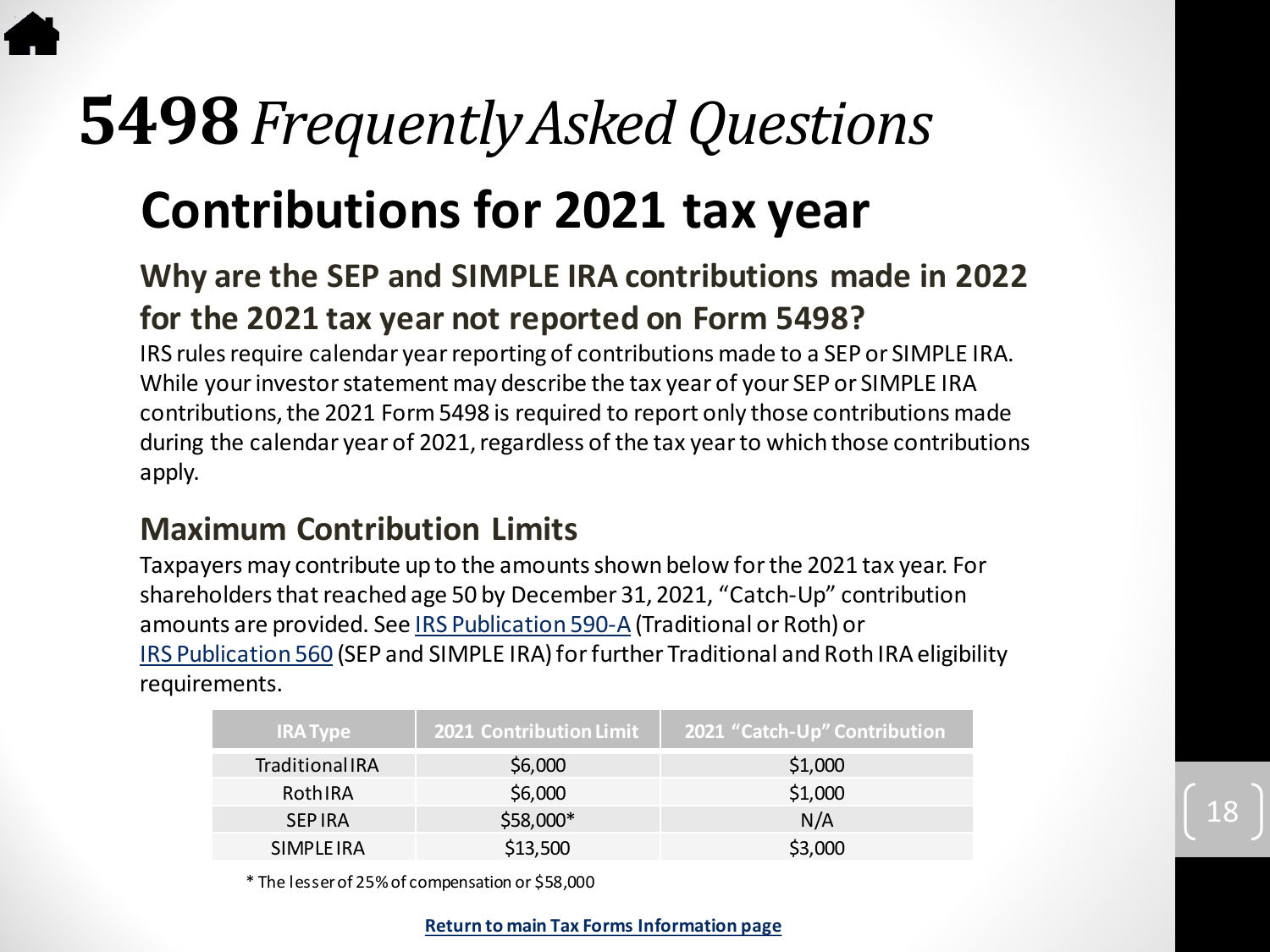### **5498***Frequently Asked Questions*

### **Contributions for 2021 tax year**

#### **Why are the SEP and SIMPLE IRA contributions made in 2022 for the 2021 tax year not reported on Form 5498?**

IRS rules require calendar year reporting of contributions made to a SEP or SIMPLE IRA. While your investor statement may describe the tax year of your SEP or SIMPLE IRA contributions, the 2021 Form 5498 is required to report only those contributions made during the calendar year of 2021, regardless of the tax year to which those contributions apply.

#### **Maximum Contribution Limits**

Taxpayers may contribute up to the amounts shown below for the 2021 tax year. For shareholders that reached age 50 by December 31, 2021, "Catch-Up" contribution amounts are provided. See [IRS Publication 590-A](https://www.irs.gov/pub/irs-pdf/p590a.pdf)(Traditional or Roth) or [IRS Publication 560](https://www.irs.gov/pub/irs-pdf/p560.pdf) (SEP and SIMPLE IRA) for further Traditional and Roth IRA eligibility requirements.

| <b>IRA Type</b>       | <b>2021 Contribution Limit</b> | 2021 "Catch-Up" Contribution |
|-----------------------|--------------------------------|------------------------------|
| <b>TraditionalIRA</b> | \$6,000                        | \$1,000                      |
| RothIRA               | \$6,000                        | \$1,000                      |
| <b>SEP IRA</b>        | \$58,000*                      | N/A                          |
| SIMPLE IRA            | \$13,500                       | \$3,000                      |

18

\* The lesser of 25% of compensation or \$58,000

**[Return to main Tax Forms Information page](#page-4-0)**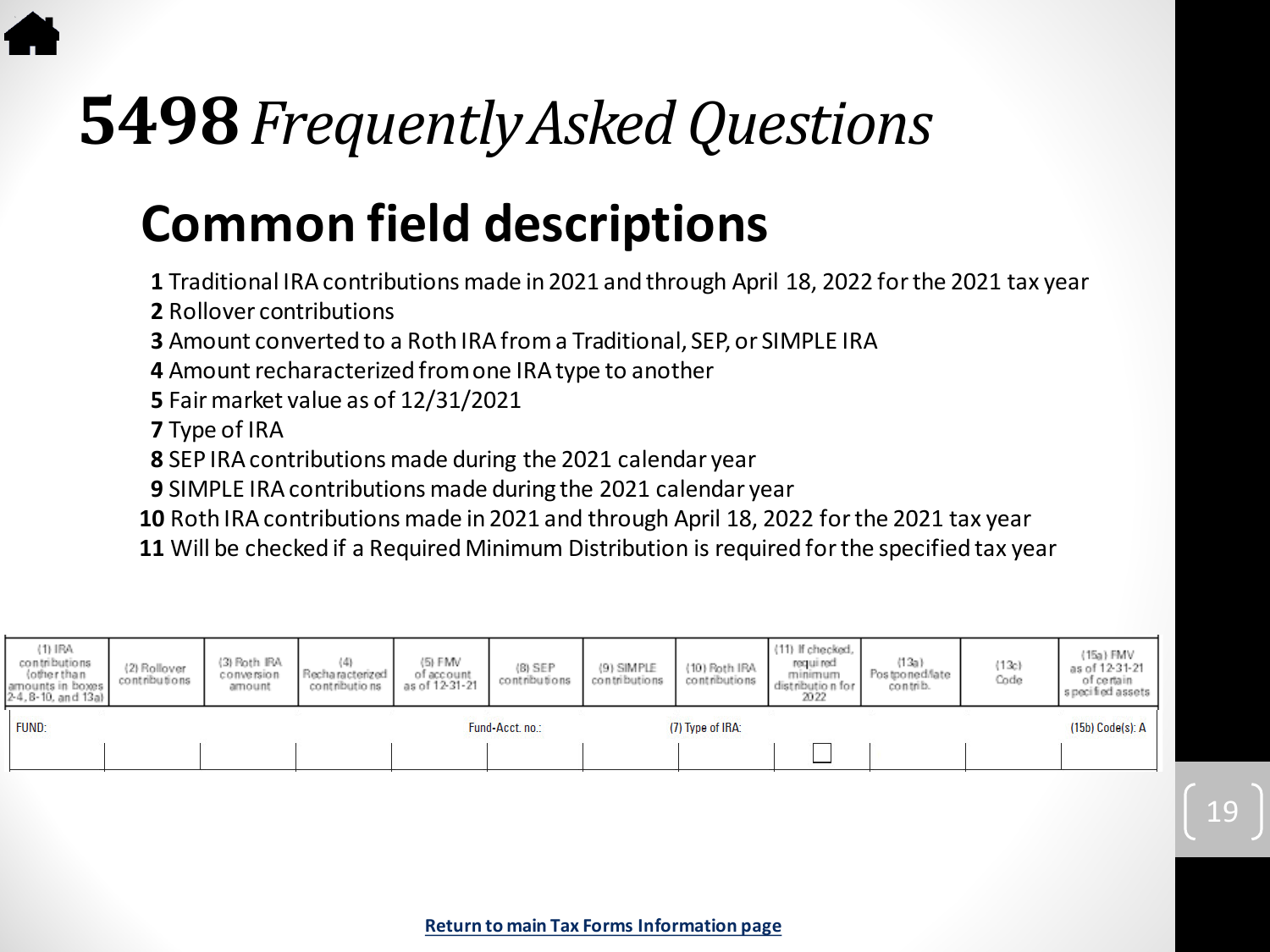# *Frequently Asked Questions*

### **Common field descriptions**

Traditional IRA contributions made in 2021 and through April 18, 2022 for the 2021 tax year

Rollover contributions

Amount converted to a Roth IRA from a Traditional, SEP, or SIMPLE IRA

Amount recharacterized from one IRA type to another

Fair market value as of 12/31/2021

Type of IRA

SEP IRA contributions made during the 2021 calendar year

SIMPLE IRA contributions made during the 2021 calendar year

Roth IRA contributions made in 2021 and through April 18, 2022 for the 2021 tax year

Will be checked if a Required Minimum Distribution is required for the specified tax year

| $(1)$ IRA<br>contributions<br>(other than<br>amounts in boxes<br>2-4, 8-10, and 13a) | (2) Rollover<br>contributions | (3) Roth IRA<br>conversion<br>amount | Recharacterized<br>contributions | (5) FMV<br>of account<br>as of 12-31-21 | $(B)$ SEP<br>contributions | (9) SIMPLE<br>contributions | (10) Roth IRA<br>contributions | (11) If checked,<br>required<br>minimum<br>distribution for<br>2022 | (13a)<br>Postponed/late<br>contrib. | (13c)<br>Code | $(15a)$ FMV<br>as of 12-31-21<br>of certain<br>s pecified assets |
|--------------------------------------------------------------------------------------|-------------------------------|--------------------------------------|----------------------------------|-----------------------------------------|----------------------------|-----------------------------|--------------------------------|---------------------------------------------------------------------|-------------------------------------|---------------|------------------------------------------------------------------|
| FUND:                                                                                |                               |                                      |                                  |                                         | Fund-Acct. no.:            |                             | (7) Type of IRA:               |                                                                     |                                     |               | (15b) Code(s): A                                                 |
|                                                                                      |                               |                                      |                                  |                                         |                            |                             |                                |                                                                     |                                     |               |                                                                  |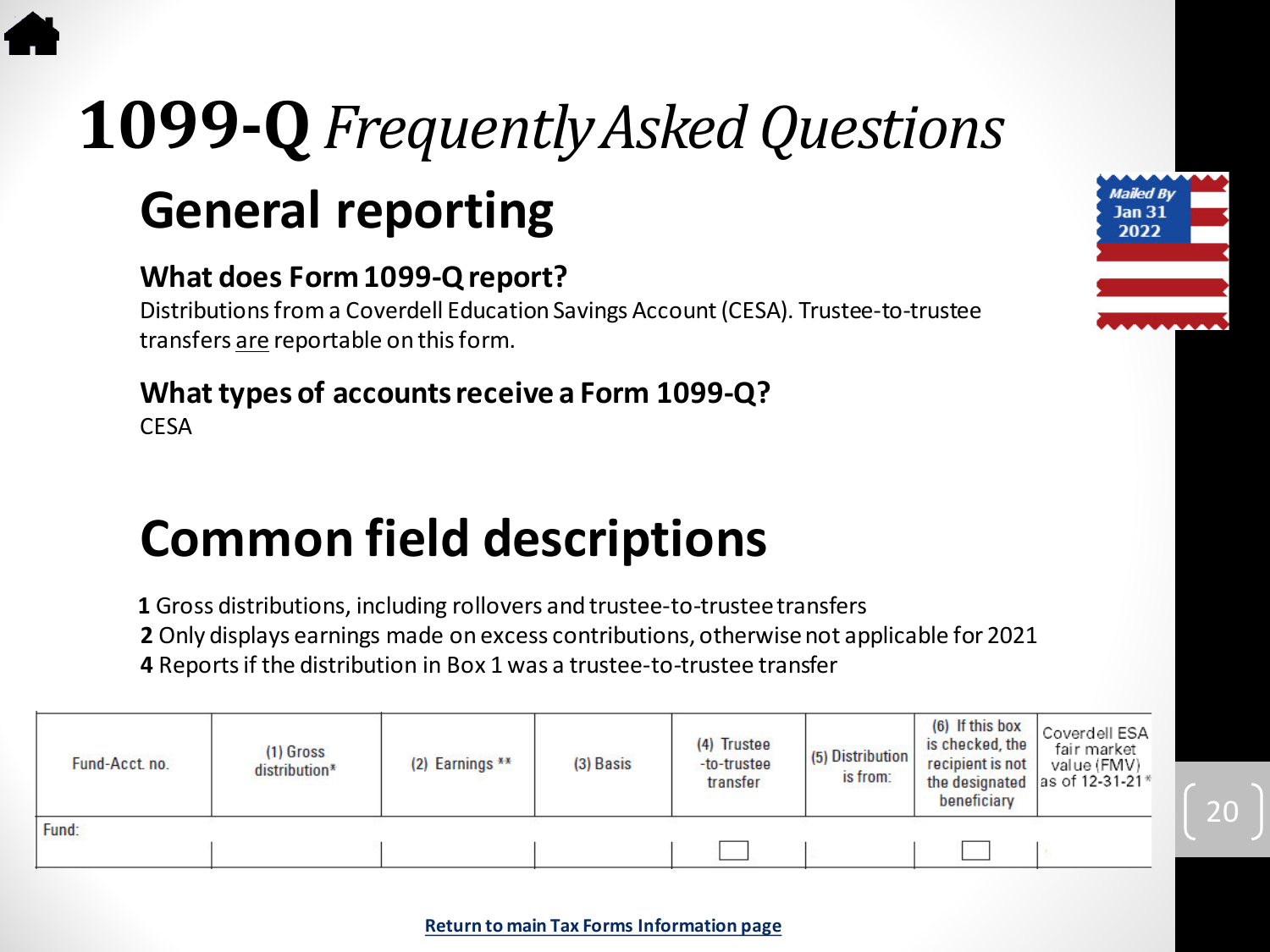# <span id="page-19-0"></span>**General reporting 1099-Q***Frequently Asked Questions*

#### **What does Form 1099-Q report?**

Distributions from a Coverdell Education Savings Account (CESA). Trustee-to-trustee transfers are reportable on this form.

#### **What types of accounts receive a Form 1099-Q?**

CESA

### **Common field descriptions**

**1** Gross distributions, including rollovers and trustee-to-trustee transfers

**2** Only displays earnings made on excess contributions, otherwise not applicable for 2021 **4** Reports if the distribution in Box 1 was a trustee-to-trustee transfer

| Fund-Acct. no. | $(1)$ Gross<br>distribution* | (2) Earnings ** | (3) Basis | (4) Trustee<br>-to-trustee<br>transfer | (5) Distribution<br>is from: | (6) If this box<br>is checked, the<br>recipient is not<br>beneficiary | Coverdell ESA<br>fair market<br>value (FMV)<br>the designated as of 12-31-21* |
|----------------|------------------------------|-----------------|-----------|----------------------------------------|------------------------------|-----------------------------------------------------------------------|-------------------------------------------------------------------------------|
| Fund:          |                              |                 |           |                                        |                              |                                                                       |                                                                               |
|                |                              |                 |           |                                        |                              |                                                                       |                                                                               |

20

Mailed By **Jan 31** 2022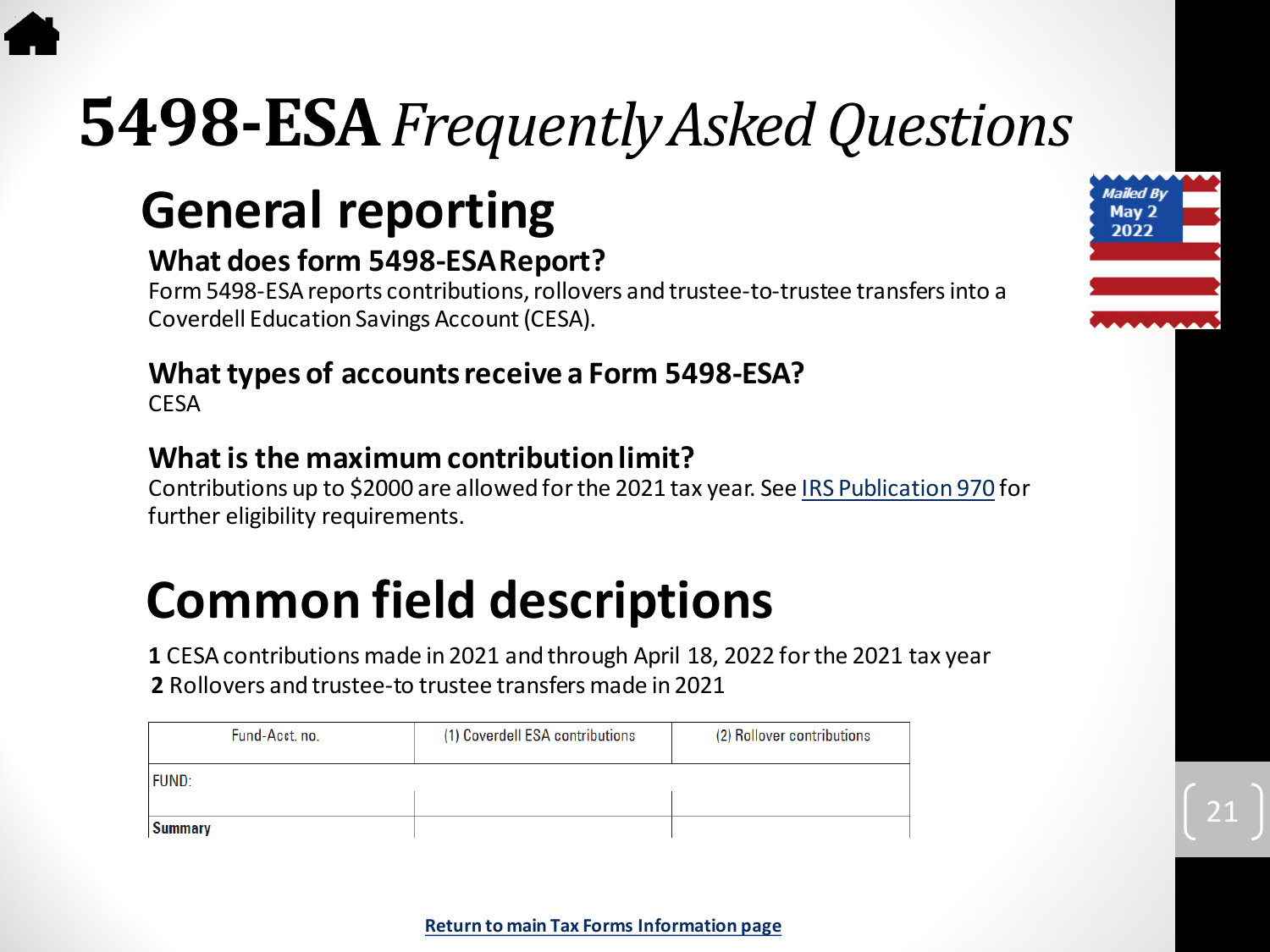## <span id="page-20-0"></span>**5498-ESA***Frequently Asked Questions*

### **General reporting**

#### **What does form 5498-ESA Report?**

Form 5498-ESA reports contributions, rollovers and trustee-to-trustee transfersinto a Coverdell Education Savings Account (CESA).

### **What types of accounts receive a Form 5498-ESA?**

**CESA** 

#### **What is the maximum contribution limit?**

Contributions up to \$2000 are allowed for the 2021 tax year. See [IRS Publication 970](https://www.irs.gov/pub/irs-pdf/p970.pdf) for further eligibility requirements.

### **Common field descriptions**

**1** CESA contributions made in 2021 and through April 18, 2022 for the 2021 tax year **2** Rollovers and trustee-to trustee transfers made in 2021

| Fund-Acct. no. | (1) Coverdell ESA contributions | (2) Rollover contributions |
|----------------|---------------------------------|----------------------------|
| <b>FUND:</b>   |                                 |                            |
|                |                                 |                            |
| <b>Summary</b> |                                 |                            |

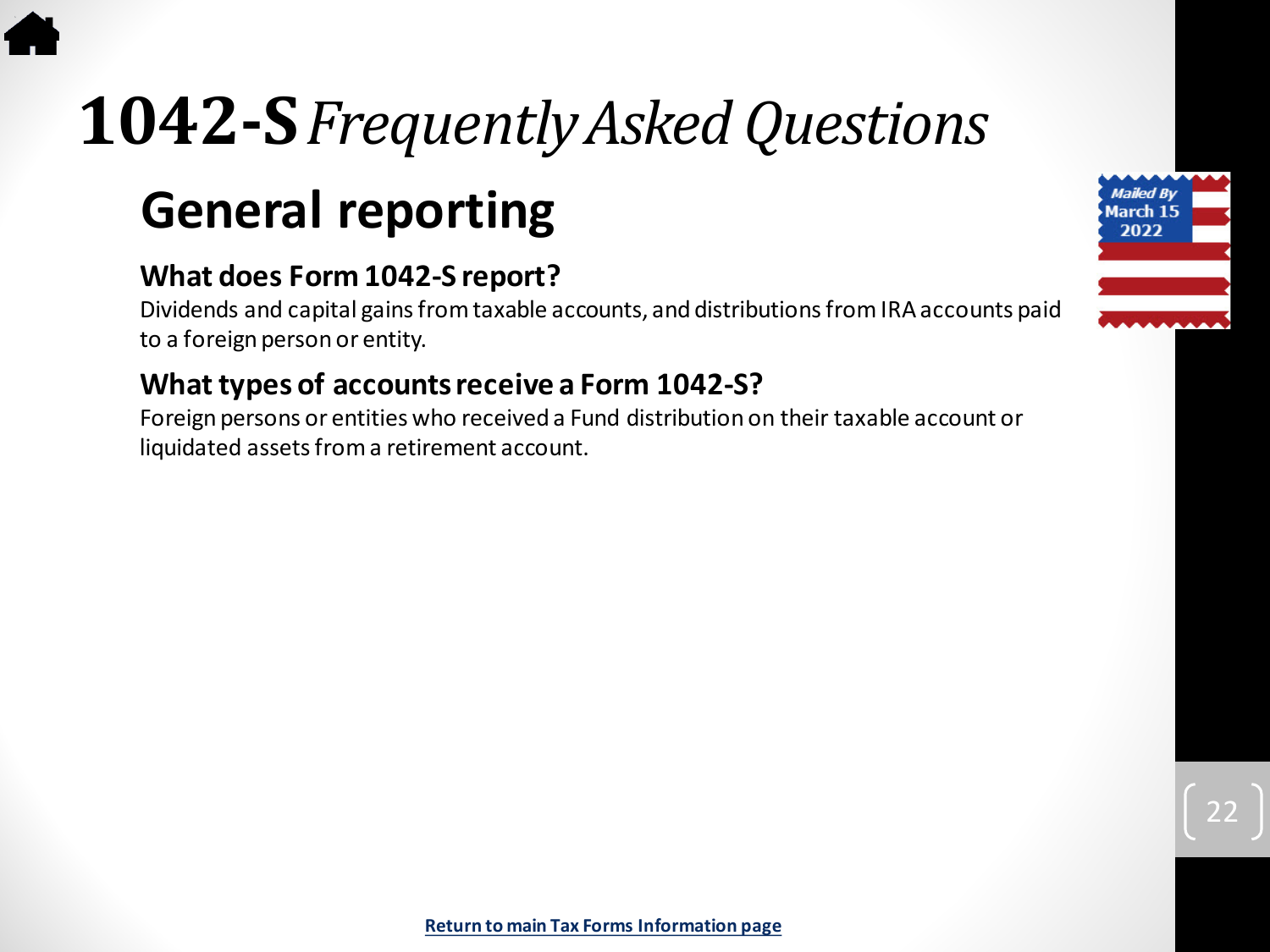# <span id="page-21-0"></span>**1042-S***Frequently Asked Questions*

### **General reporting**

#### **What does Form 1042-S report?**

Dividends and capital gains from taxable accounts, and distributions from IRA accounts paid to a foreign person or entity.

#### **What types of accounts receive a Form 1042-S?**

Foreign persons or entities who received a Fund distribution on their taxable account or liquidated assets from a retirement account.

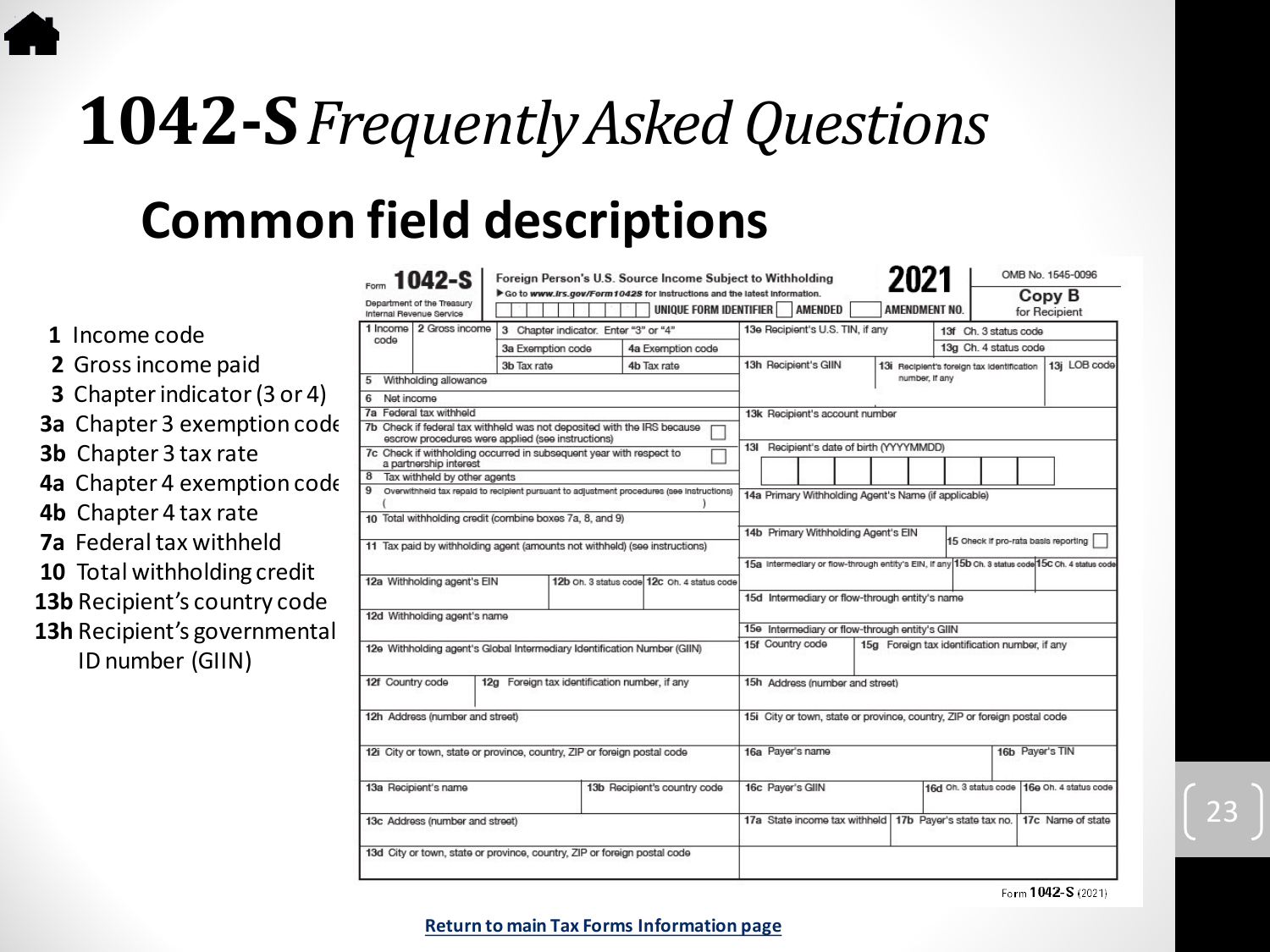# **1042-S***Frequently Asked Questions*

### **Common field descriptions**

13**b** 

|                                     | $1042-S$                                                                                      |                   | Foreign Person's U.S. Source Income Subject to Withholding                                         |                                                                          | 2021                                          |                                            | OMB No. 1545-0096                                                                                 |
|-------------------------------------|-----------------------------------------------------------------------------------------------|-------------------|----------------------------------------------------------------------------------------------------|--------------------------------------------------------------------------|-----------------------------------------------|--------------------------------------------|---------------------------------------------------------------------------------------------------|
|                                     | Department of the Treasury<br>Internal Revenue Service                                        |                   | Go to www.irs.gov/Form10428 for instructions and the latest information.<br>UNIQUE FORM IDENTIFIER | <b>AMENDED</b>                                                           |                                               | AMENDMENT NO.                              | Copy B<br>for Recipient                                                                           |
| 1 Income code                       | 1 Income 2 Gross income                                                                       |                   | 3 Chapter indicator. Enter "3" or "4"                                                              | 13e Recipient's U.S. TIN, if any                                         |                                               | 13f Ch. 3 status code                      |                                                                                                   |
|                                     | code                                                                                          | 3a Exemption code | 4a Exemption code                                                                                  |                                                                          |                                               | 13g Ch. 4 status code                      |                                                                                                   |
| 2 Gross income paid                 |                                                                                               | 3b Tax rate       | 4b Tax rate                                                                                        | 13h Recipient's GIIN                                                     |                                               | 13i Recipient's foreign tax identification | 13j LOB code                                                                                      |
|                                     | Withholding allowance                                                                         |                   |                                                                                                    |                                                                          |                                               | number, If any                             |                                                                                                   |
| <b>3</b> Chapter indicator (3 or 4) | Net income<br>6<br>7a Federal tax withheld                                                    |                   |                                                                                                    |                                                                          |                                               |                                            |                                                                                                   |
| <b>3a</b> Chapter 3 exemption code  | escrow procedures were applied (see instructions)                                             |                   | 7b Check if federal tax withheld was not deposited with the IRS because                            | 13k Recipient's account number                                           |                                               |                                            |                                                                                                   |
| <b>3b</b> Chapter 3 tax rate        | 7c Check if withholding occurred in subsequent year with respect to<br>a partnership interest |                   |                                                                                                    | 13I Recipient's date of birth (YYYYMMDD)                                 |                                               |                                            |                                                                                                   |
| 4a Chapter 4 exemption code         | Tax withheld by other agents<br>8                                                             |                   |                                                                                                    |                                                                          |                                               |                                            |                                                                                                   |
|                                     |                                                                                               |                   | Overwithheid tax repaid to recipient pursuant to adjustment procedures (see instructions)          | 14a Primary Withholding Agent's Name (if applicable)                     |                                               |                                            |                                                                                                   |
| <b>4b</b> Chapter 4 tax rate        | 10 Total withholding credit (combine boxes 7a, 8, and 9)                                      |                   |                                                                                                    |                                                                          |                                               |                                            |                                                                                                   |
| <b>7a</b> Federal tax withheld      |                                                                                               |                   |                                                                                                    | 14b Primary Withholding Agent's EIN                                      |                                               |                                            | 15 Oheck if pro-rata basis reporting                                                              |
|                                     |                                                                                               |                   | 11 Tax paid by withholding agent (amounts not withheld) (see instructions)                         |                                                                          |                                               |                                            |                                                                                                   |
| <b>10</b> Total withholding credit  | 12a Withholding agent's EIN                                                                   |                   | 12b Oh. 3 status code 12c Oh. 4 status code                                                        |                                                                          |                                               |                                            | 15a Intermediary or flow-through entity's EIN, if any 15b Ch. 3 status code 15C Ch. 4 status code |
|                                     |                                                                                               |                   |                                                                                                    | 15d Intermediary or flow-through entity's name                           |                                               |                                            |                                                                                                   |
| 13b Recipient's country code        | 12d Withholding agent's name                                                                  |                   |                                                                                                    |                                                                          |                                               |                                            |                                                                                                   |
| <b>13h</b> Recipient's governmental |                                                                                               |                   |                                                                                                    | 15e Intermediary or flow-through entity's GIIN                           |                                               |                                            |                                                                                                   |
| ID number (GIIN)                    | 12e Withholding agent's Global Intermediary Identification Number (GIIN)                      |                   | 15f Country code                                                                                   |                                                                          | 15g Foreign tax identification number, if any |                                            |                                                                                                   |
|                                     | 12f Country code                                                                              |                   | 12g Foreign tax identification number, if any                                                      |                                                                          | 15h Address (number and street)               |                                            |                                                                                                   |
|                                     | 12h Address (number and street)                                                               |                   |                                                                                                    | 15i City or town, state or province, country, ZIP or foreign postal code |                                               |                                            |                                                                                                   |
|                                     | 12i City or town, state or province, country, ZIP or foreign postal code                      |                   |                                                                                                    | 16a Payer's name                                                         |                                               |                                            | 16b Payer's TIN                                                                                   |
|                                     | 13a Recipient's name                                                                          |                   | 13b Recipient's country code                                                                       | 16c Payer's GIIN                                                         |                                               |                                            | 16d Oh. 3 status code 16e Oh. 4 status code                                                       |
|                                     | 13c Address (number and street)                                                               |                   |                                                                                                    | 17a State income tax withheld                                            |                                               | 17b Payer's state tax no.                  | 17c Name of state                                                                                 |
|                                     | 13d City or town, state or province, country, ZIP or foreign postal code                      |                   |                                                                                                    |                                                                          |                                               |                                            |                                                                                                   |

Form 1042-S (2021)

23

**[Return to main Tax Forms Information page](#page-4-0)**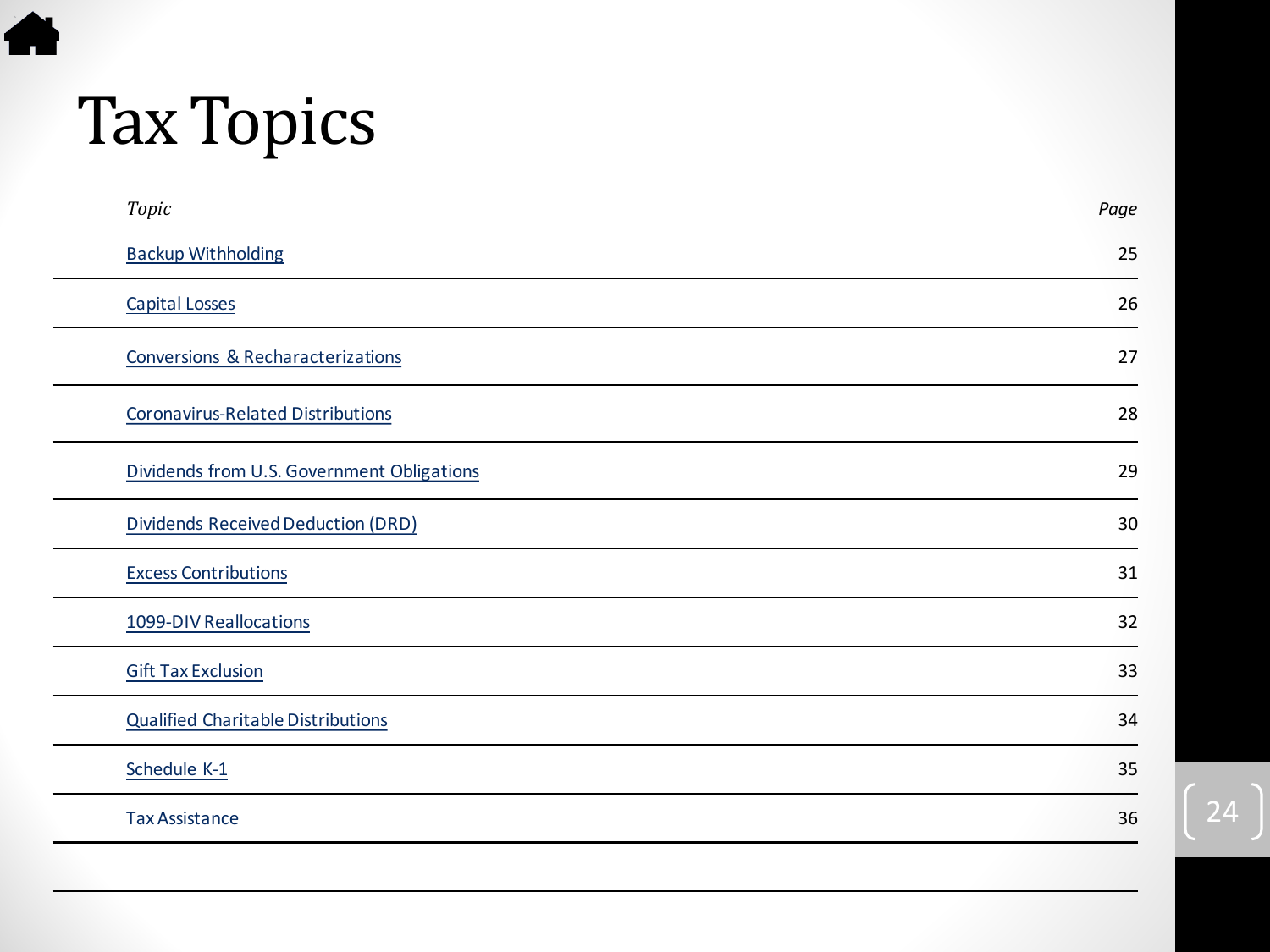# Tax Topics

<span id="page-23-0"></span>合

| Topic                                      | Page |
|--------------------------------------------|------|
| <b>Backup Withholding</b>                  | 25   |
| <b>Capital Losses</b>                      | 26   |
| Conversions & Recharacterizations          | 27   |
| <b>Coronavirus-Related Distributions</b>   | 28   |
| Dividends from U.S. Government Obligations | 29   |
| Dividends Received Deduction (DRD)         | 30   |
| <b>Excess Contributions</b>                | 31   |
| 1099-DIV Reallocations                     | 32   |
| <b>Gift Tax Exclusion</b>                  | 33   |
| <b>Qualified Charitable Distributions</b>  | 34   |
| Schedule K-1                               | 35   |
| <b>Tax Assistance</b>                      | 36   |
|                                            |      |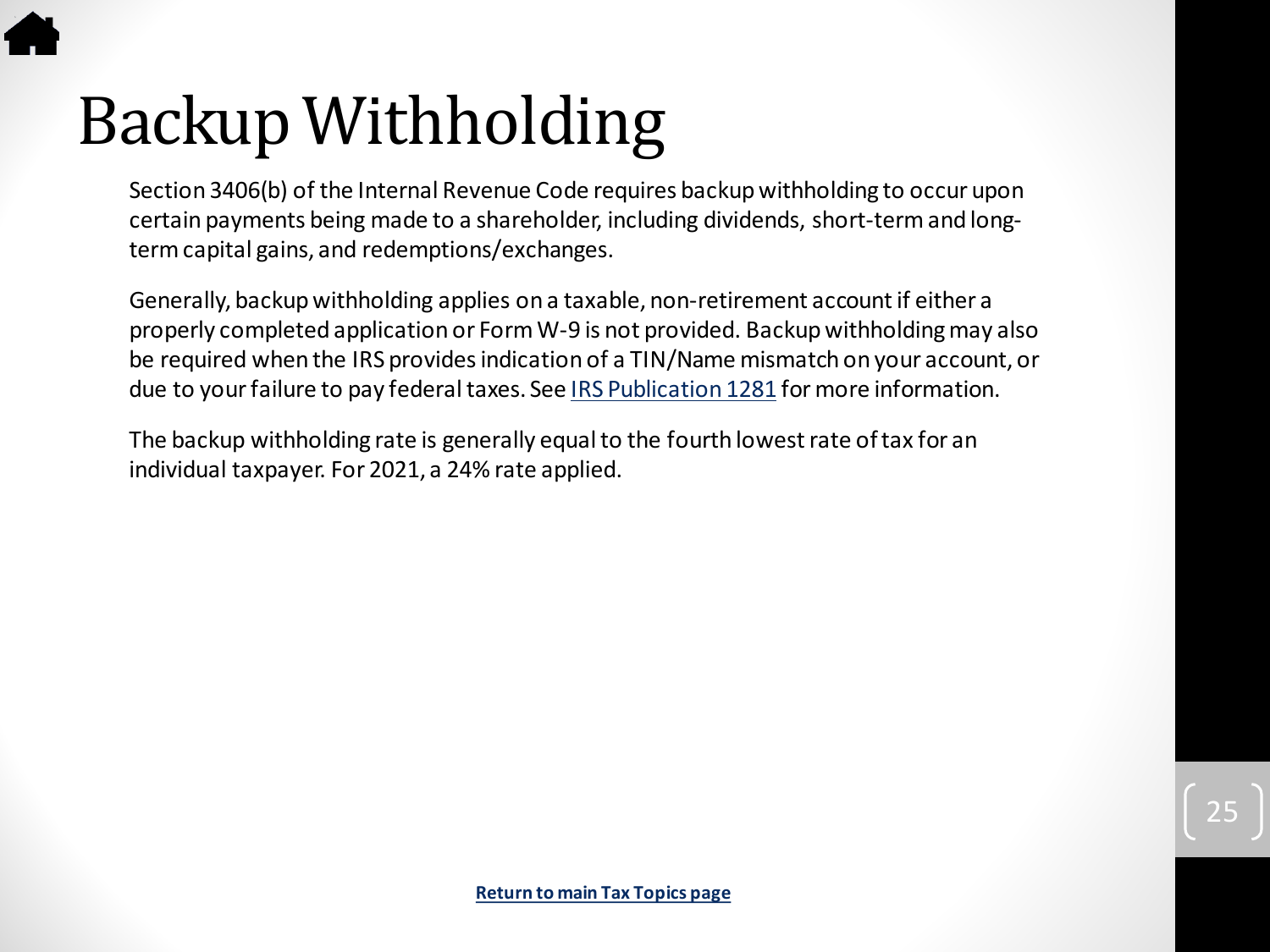# <span id="page-24-0"></span>Backup Withholding

Section 3406(b) of the Internal Revenue Code requires backup withholding to occur upon certain payments being made to a shareholder, including dividends, short-term and longterm capital gains, and redemptions/exchanges.

Generally, backup withholding applies on a taxable, non-retirement account if either a properly completed application or Form W-9 is not provided. Backup withholding may also be required when the IRS provides indication of a TIN/Name mismatch on your account, or due to your failure to pay federal taxes. See [IRS Publication 1281](https://www.irs.gov/pub/irs-pdf/p1281.pdf) for more information.

The backup withholding rate is generally equal to the fourth lowest rate of tax for an individual taxpayer. For 2021, a 24% rate applied.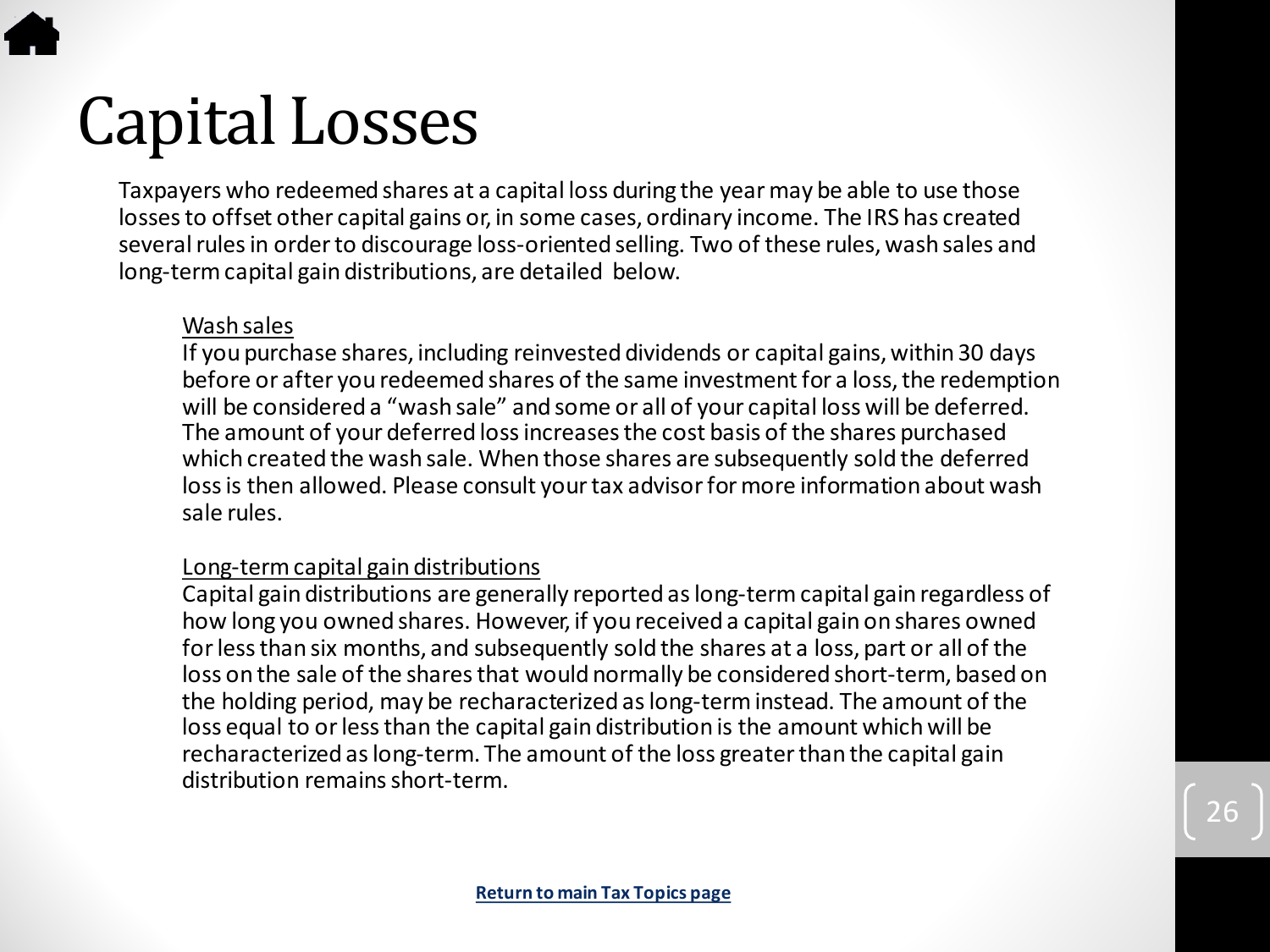# <span id="page-25-0"></span>Capital Losses

Taxpayers who redeemed shares at a capital loss during the year may be able to use those losses to offset other capital gains or, in some cases, ordinary income. The IRS has created several rules in order to discourage loss-oriented selling. Two of these rules, wash sales and long-term capital gain distributions, are detailed below.

#### Wash sales

If you purchase shares, including reinvested dividends or capital gains, within 30 days before or after you redeemed shares of the same investment for a loss, the redemption will be considered a "wash sale" and some or all of your capital loss will be deferred. The amount of your deferred loss increases the cost basis of the shares purchased which created the wash sale. When those shares are subsequently sold the deferred loss is then allowed. Please consult your tax advisor for more information about wash sale rules.

#### Long-term capital gain distributions

Capital gain distributions are generally reported as long-term capital gain regardless of how long you owned shares. However, if you received a capital gain on shares owned for less than six months, and subsequently sold the shares at a loss, part or all of the loss on the sale of the shares that would normally be considered short-term, based on the holding period, may be recharacterized as long-term instead. The amount of the loss equal to or less than the capital gain distribution is the amount which will be recharacterized as long-term. The amount of the loss greater than the capital gain distribution remains short-term.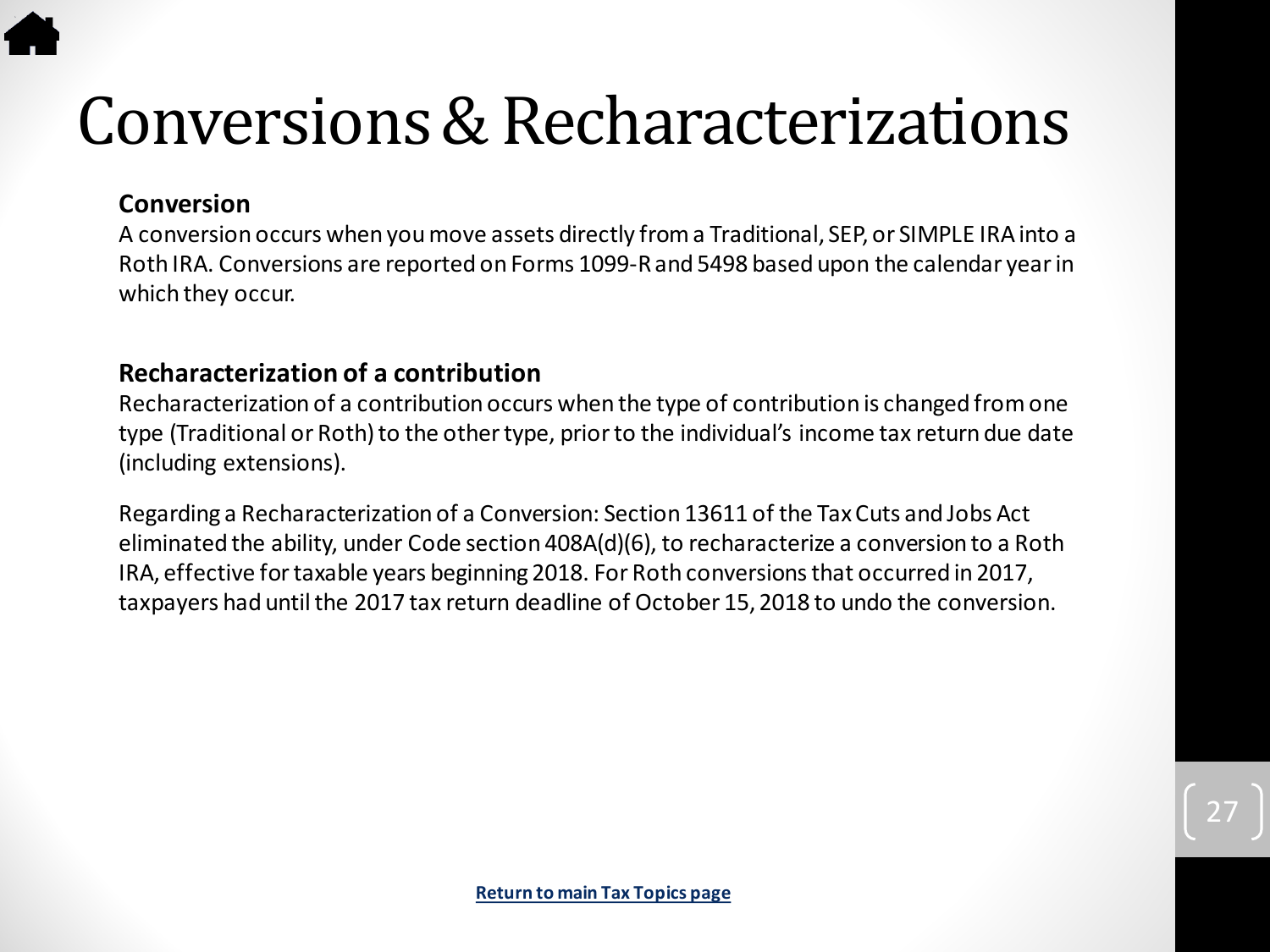### <span id="page-26-0"></span>Conversions & Recharacterizations

#### **Conversion**

A conversion occurs when you move assets directly from a Traditional, SEP, or SIMPLE IRA into a Roth IRA. Conversions are reported on Forms 1099-R and 5498 based upon the calendar year in which they occur.

#### **Recharacterization of a contribution**

Recharacterization of a contribution occurs when the type of contribution is changed from one type (Traditional or Roth) to the other type, prior to the individual's income tax return due date (including extensions).

Regarding a Recharacterization of a Conversion: Section 13611 of the Tax Cuts and Jobs Act eliminated the ability, under Code section 408A(d)(6), to recharacterize a conversion to a Roth IRA, effective for taxable years beginning 2018. For Roth conversions that occurred in 2017, taxpayers had until the 2017 tax return deadline of October 15, 2018 to undo the conversion.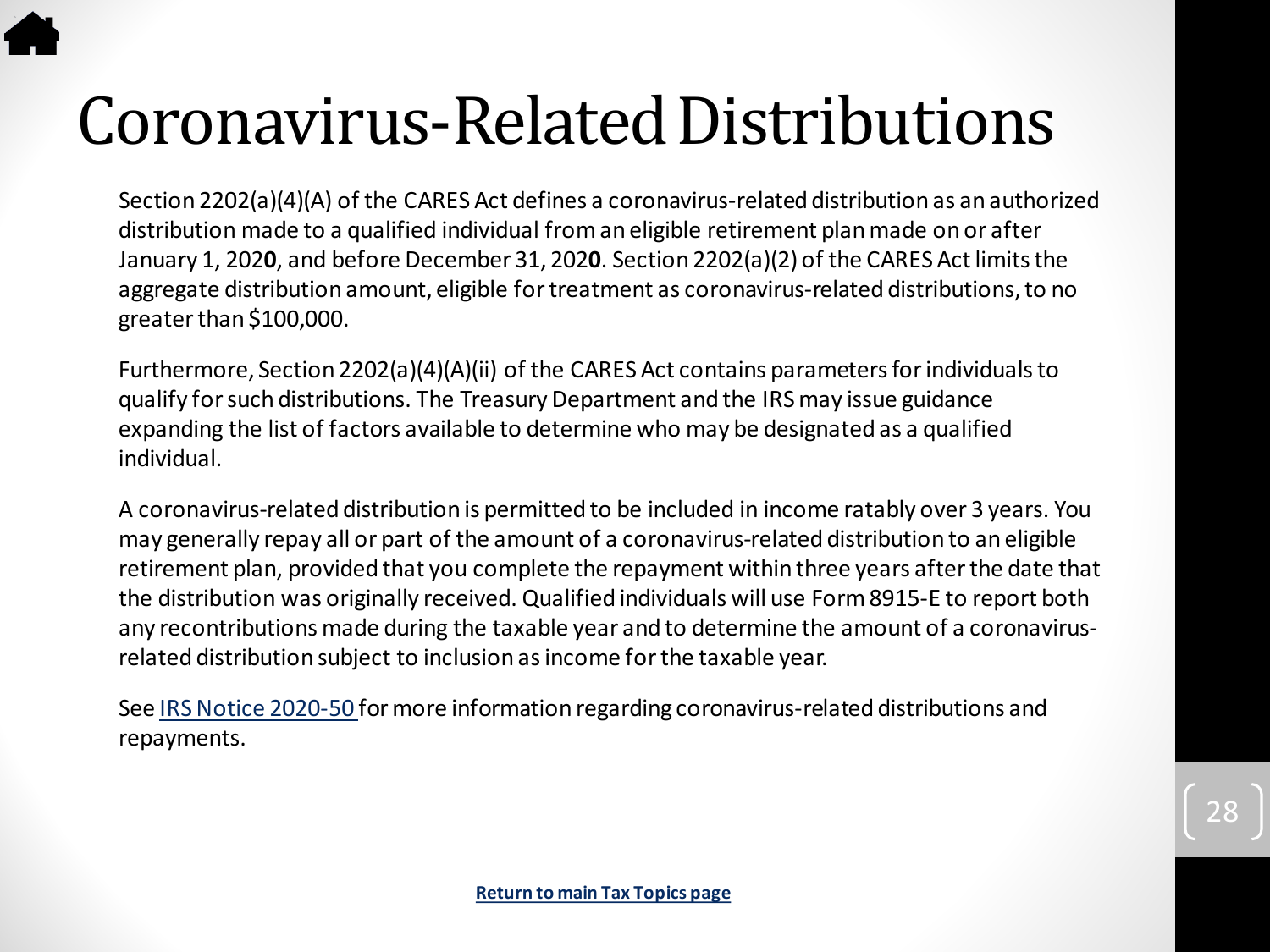# <span id="page-27-0"></span>Coronavirus-Related Distributions

Section 2202(a)(4)(A) of the CARES Act defines a coronavirus-related distribution as an authorized distribution made to a qualified individual from an eligible retirement plan made on or after January 1, 202**0**, and before December 31, 202**0**. Section 2202(a)(2) of the CARES Act limits the aggregate distribution amount, eligible for treatment as coronavirus-related distributions, to no greater than \$100,000.

Furthermore, Section 2202(a)(4)(A)(ii) of the CARES Act contains parameters for individuals to qualify for such distributions. The Treasury Department and the IRS may issue guidance expanding the list of factors available to determine who may be designated as a qualified individual.

A coronavirus-related distribution is permitted to be included in income ratably over 3 years. You may generally repay all or part of the amount of a coronavirus-related distribution to an eligible retirement plan, provided that you complete the repayment within three years after the date that the distribution was originally received. Qualified individuals will use Form 8915-E to report both any recontributions made during the taxable year and to determine the amount of a coronavirusrelated distribution subject to inclusion as income for the taxable year.

See [IRS Notice 2020-50](https://www.irs.gov/pub/irs-drop/n-20-50.pdf) for more information regarding coronavirus-related distributions and repayments.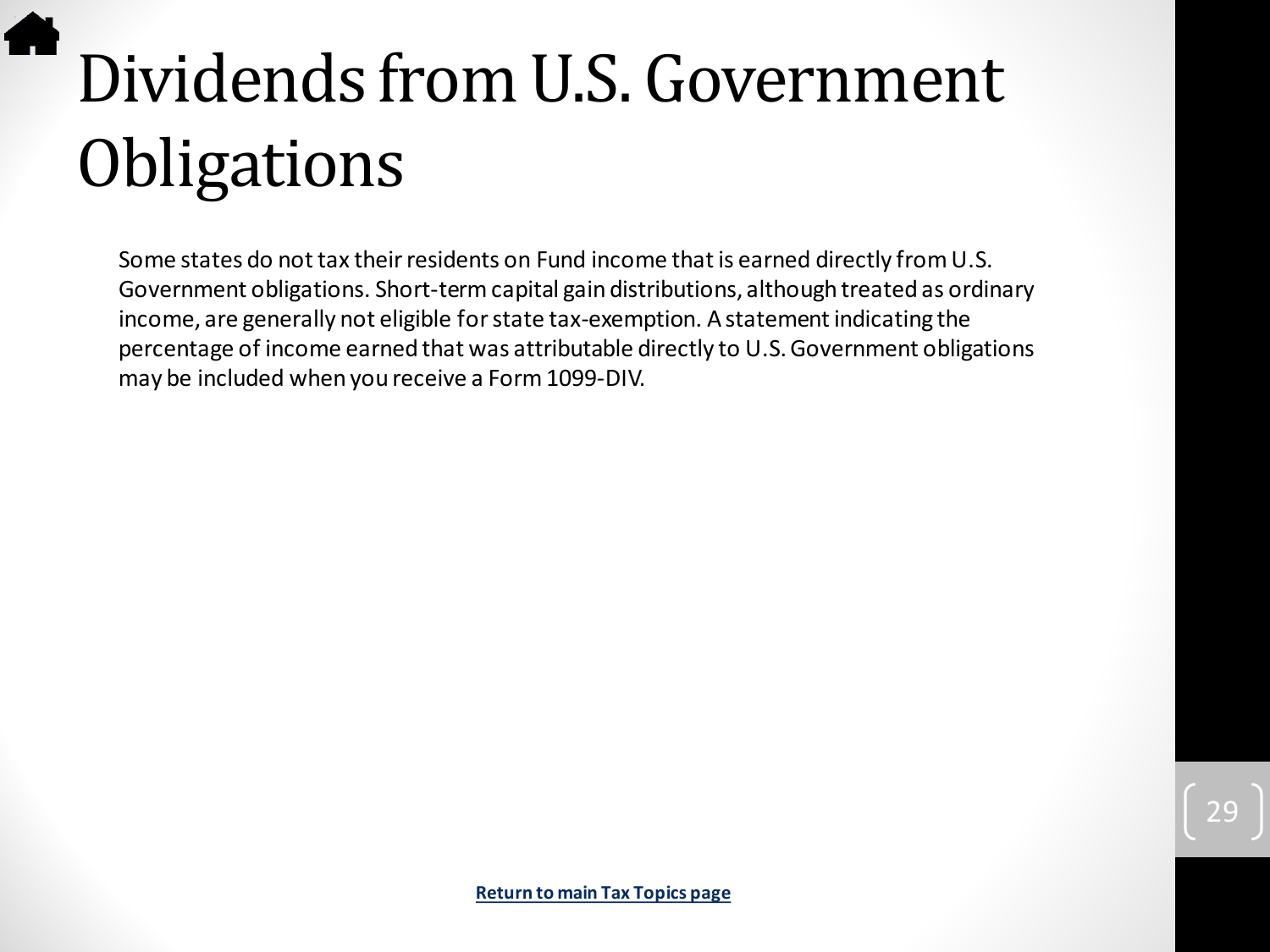# <span id="page-28-0"></span>Dividends from U.S. Government **Obligations**

Some states do not tax their residents on Fund income that is earned directly from U.S. Government obligations. Short-term capital gain distributions, although treated as ordinary income, are generally not eligible for state tax-exemption. A statement indicating the percentage of income earned that was attributable directly to U.S. Government obligations may be included when you receive a Form 1099-DIV.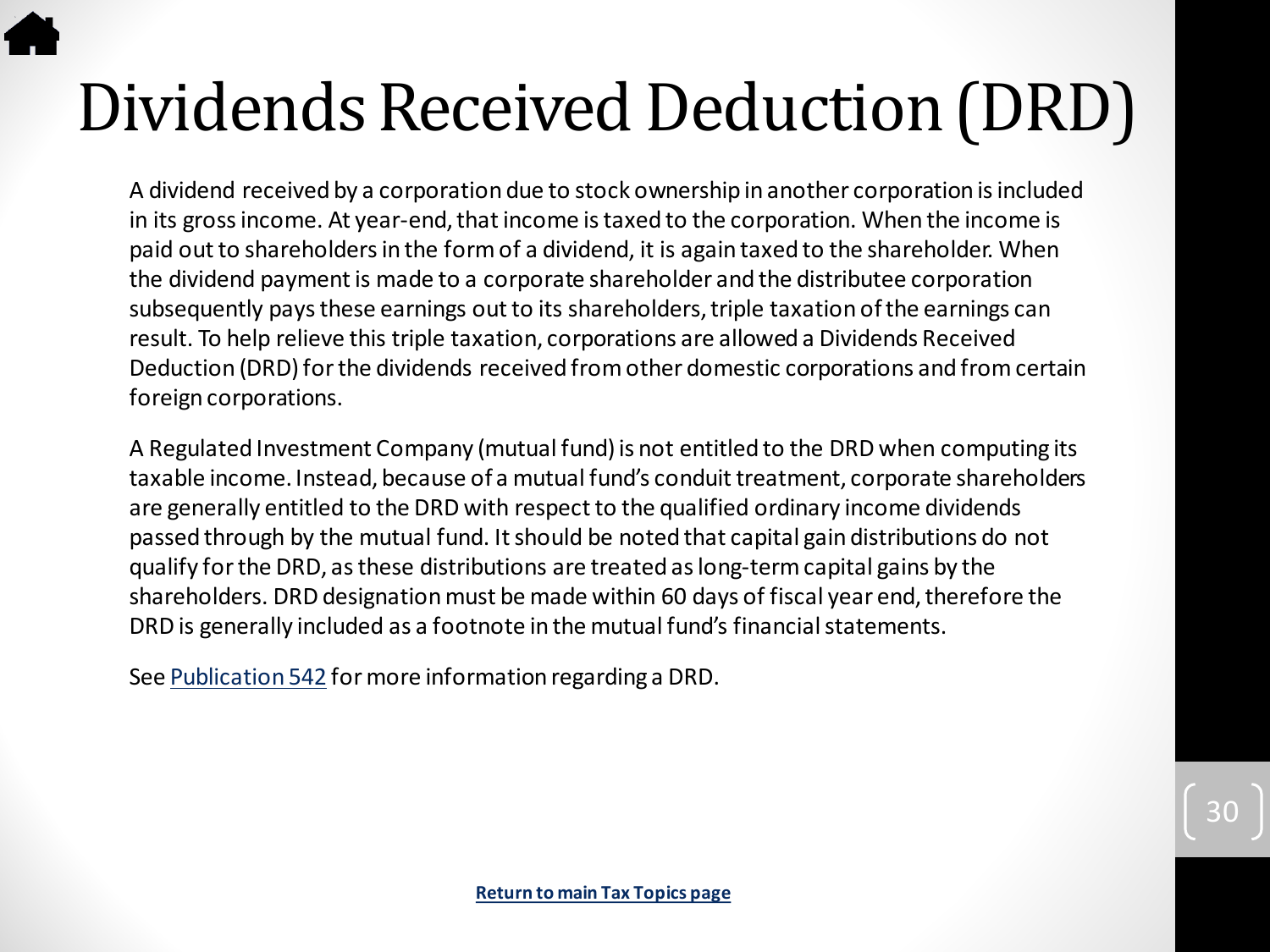# <span id="page-29-0"></span>Dividends Received Deduction (DRD)

A dividend received by a corporation due to stock ownership in another corporation is included in its gross income. At year-end, that income is taxed to the corporation. When the income is paid out to shareholders in the form of a dividend, it is again taxed to the shareholder. When the dividend payment is made to a corporate shareholder and the distributee corporation subsequently pays these earnings out to its shareholders, triple taxation of the earnings can result. To help relieve this triple taxation, corporations are allowed a Dividends Received Deduction (DRD) for the dividends received from other domestic corporations and from certain foreign corporations.

A Regulated Investment Company (mutual fund) is not entitled to the DRD when computing its taxable income. Instead, because of a mutual fund's conduit treatment, corporate shareholders are generally entitled to the DRD with respect to the qualified ordinary income dividends passed through by the mutual fund. It should be noted that capital gain distributions do not qualify for the DRD, as these distributions are treated as long-term capital gains by the shareholders. DRD designation must be made within 60 days of fiscal year end, therefore the DRD is generally included as a footnote in the mutual fund's financial statements.

See [Publication 542](https://www.irs.gov/pub/irs-pdf/p542.pdf) for more information regarding a DRD.

30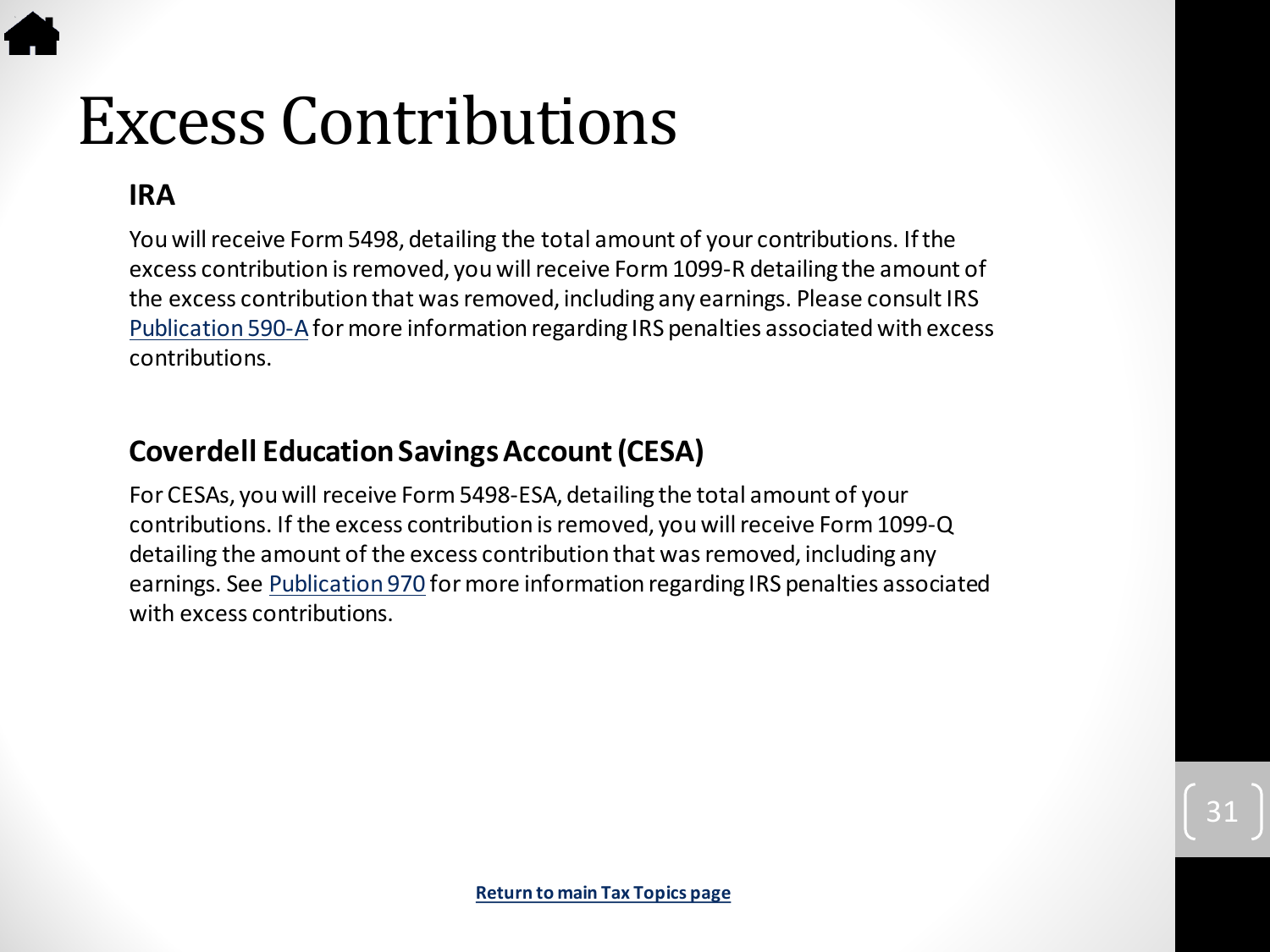# <span id="page-30-0"></span>Excess Contributions

#### **IRA**

You will receive Form 5498, detailing the total amount of your contributions. If the excess contribution is removed, you will receive Form 1099-R detailing the amount of the excess contribution that was removed, including any earnings. Please consult IRS [Publication 590-A](https://www.irs.gov/pub/irs-pdf/p590a.pdf)for more information regarding IRS penalties associated with excess contributions.

#### **Coverdell Education Savings Account (CESA)**

For CESAs, you will receive Form 5498-ESA, detailing the total amount of your contributions. If the excess contribution is removed, you will receive Form 1099-Q detailing the amount of the excess contribution that was removed, including any earnings. See [Publication 970](https://www.irs.gov/pub/irs-pdf/p970.pdf) for more information regarding IRS penalties associated with excess contributions.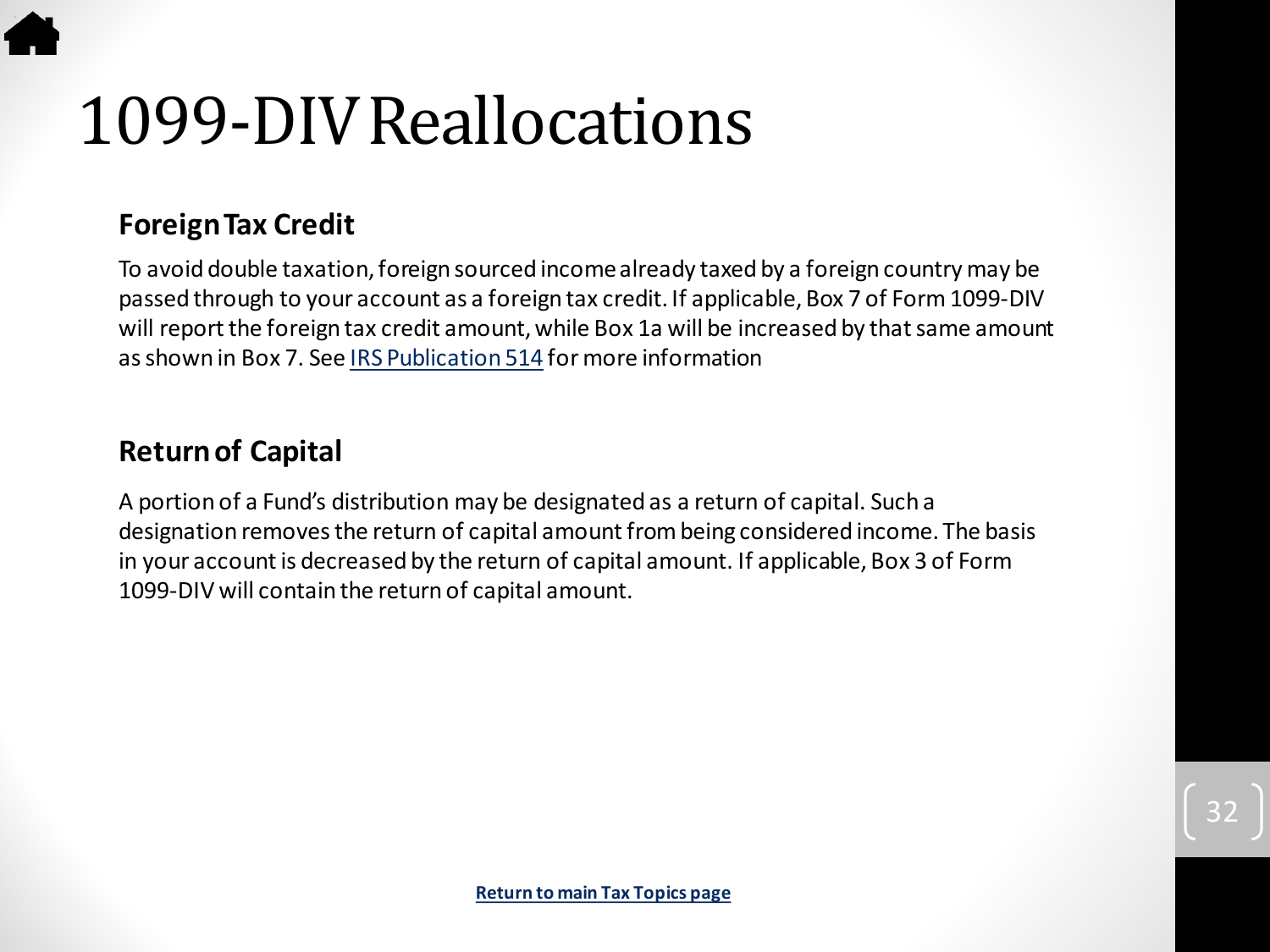# 1099-DIV Reallocations

#### **Foreign Tax Credit**

To avoid double taxation, foreign sourced income already taxed by a foreign country may be passed through to your account as a foreign tax credit. If applicable, Box 7 of Form 1099-DIV will report the foreign tax credit amount, while Box 1a will be increased by that same amount as shown in Box 7. See [IRS Publication 514](https://www.irs.gov/pub/irs-pdf/p514.pdf) for more information

#### **Return of Capital**

A portion of a Fund's distribution may be designated as a return of capital. Such a designation removes the return of capital amount from being considered income. The basis in your account is decreased by the return of capital amount. If applicable, Box 3 of Form 1099-DIV will contain the return of capital amount.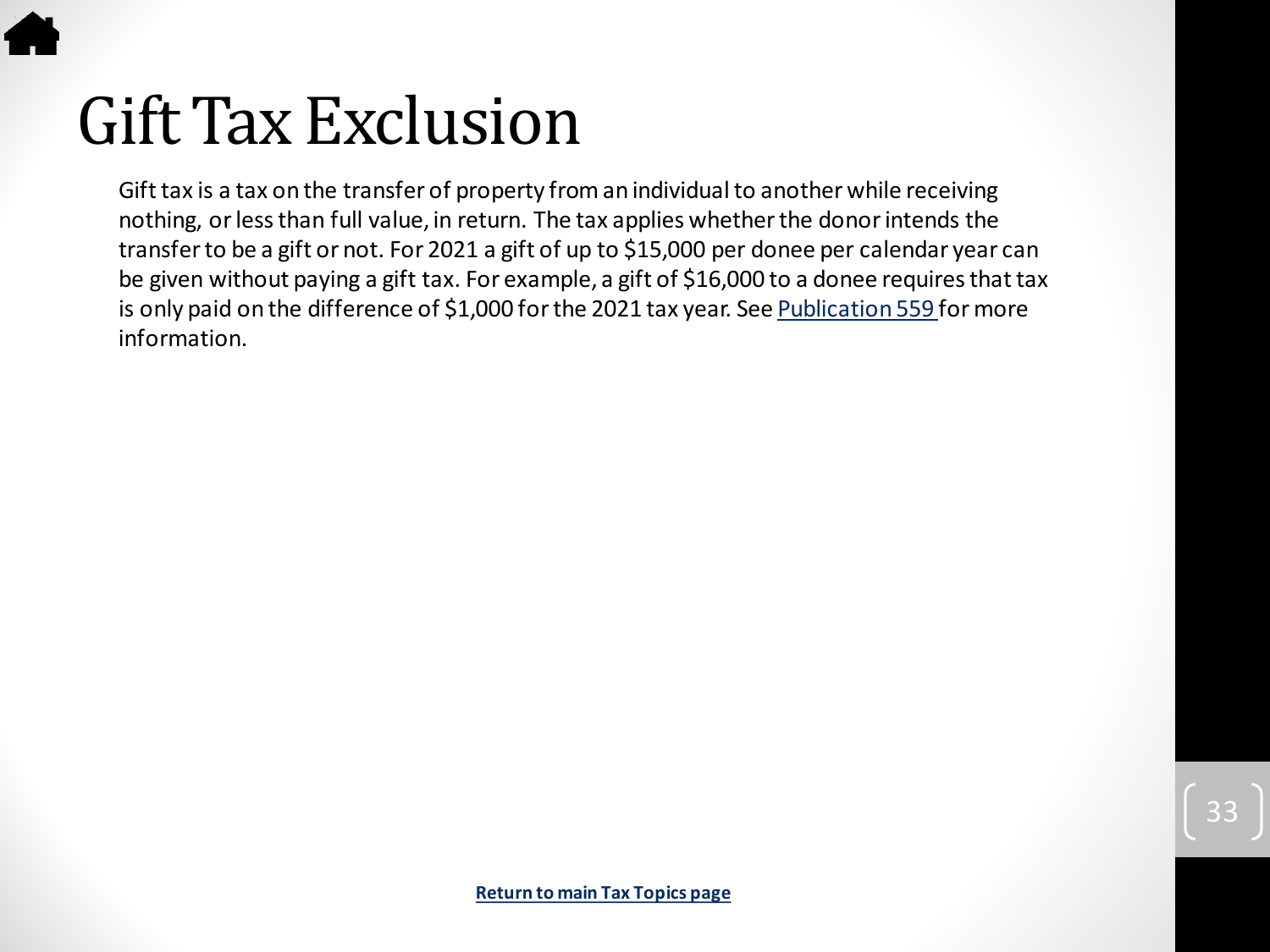<span id="page-32-0"></span>

Gift tax is a tax on the transfer of property from an individual to another while receiving nothing, or less than full value, in return. The tax applies whether the donor intends the transfer to be a gift or not. For 2021 a gift of up to \$15,000 per donee per calendar year can be given without paying a gift tax. For example, a gift of \$16,000 to a donee requires that tax is only paid on the difference of \$1,000 for the 2021 tax year. See [Publication 559](https://www.irs.gov/pub/irs-pdf/p559.pdf) for more information.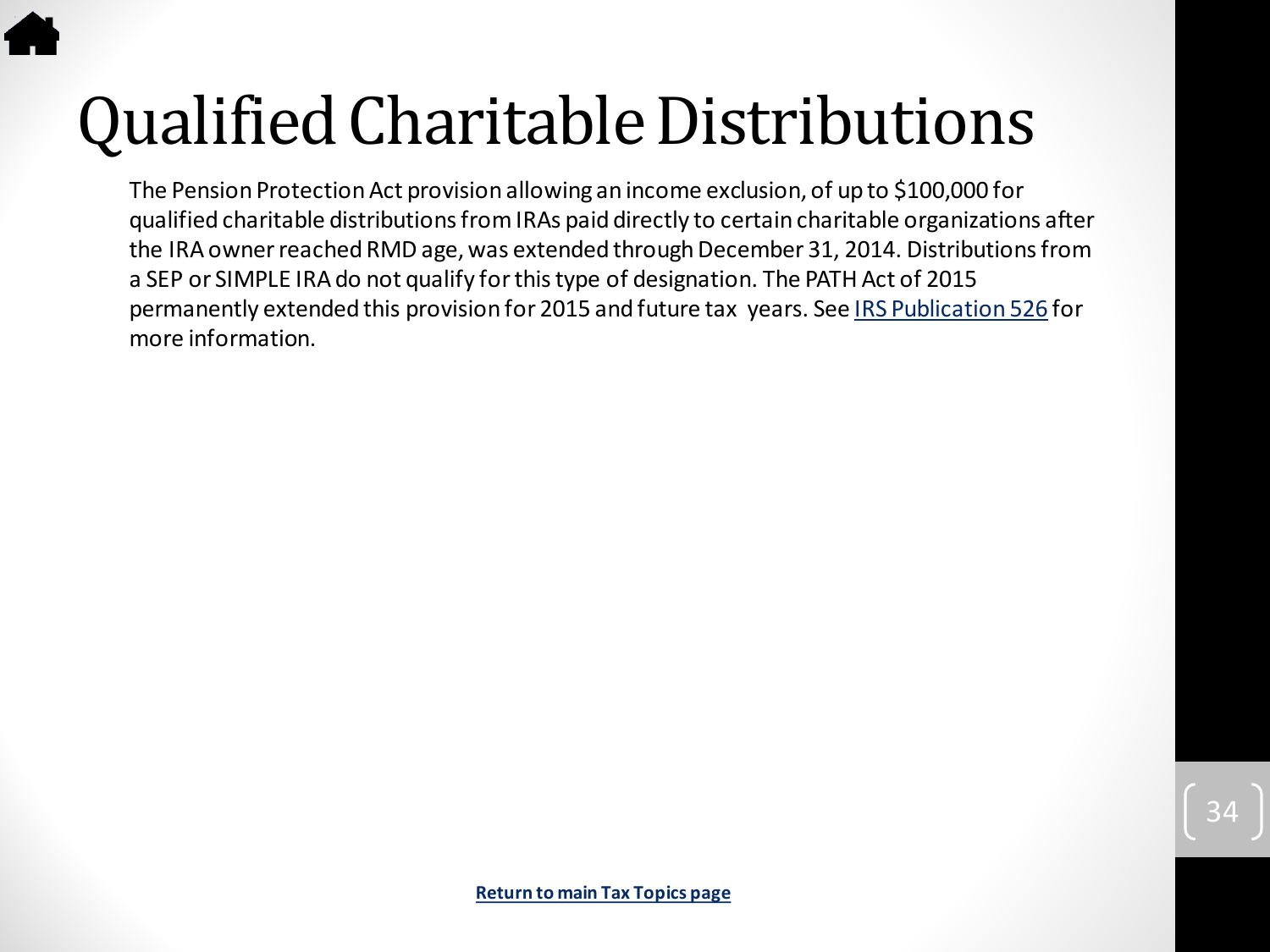# <span id="page-33-0"></span>Qualified Charitable Distributions

The Pension Protection Act provision allowing an income exclusion, of up to \$100,000 for qualified charitable distributions from IRAs paid directly to certain charitable organizations after the IRA owner reached RMD age, was extended through December 31, 2014. Distributions from a SEP or SIMPLE IRA do not qualify for this type of designation. The PATH Act of 2015 permanently extended this provision for 2015 and future tax years. See [IRS Publication 526](https://www.irs.gov/pub/irs-pdf/p526.pdf) for more information.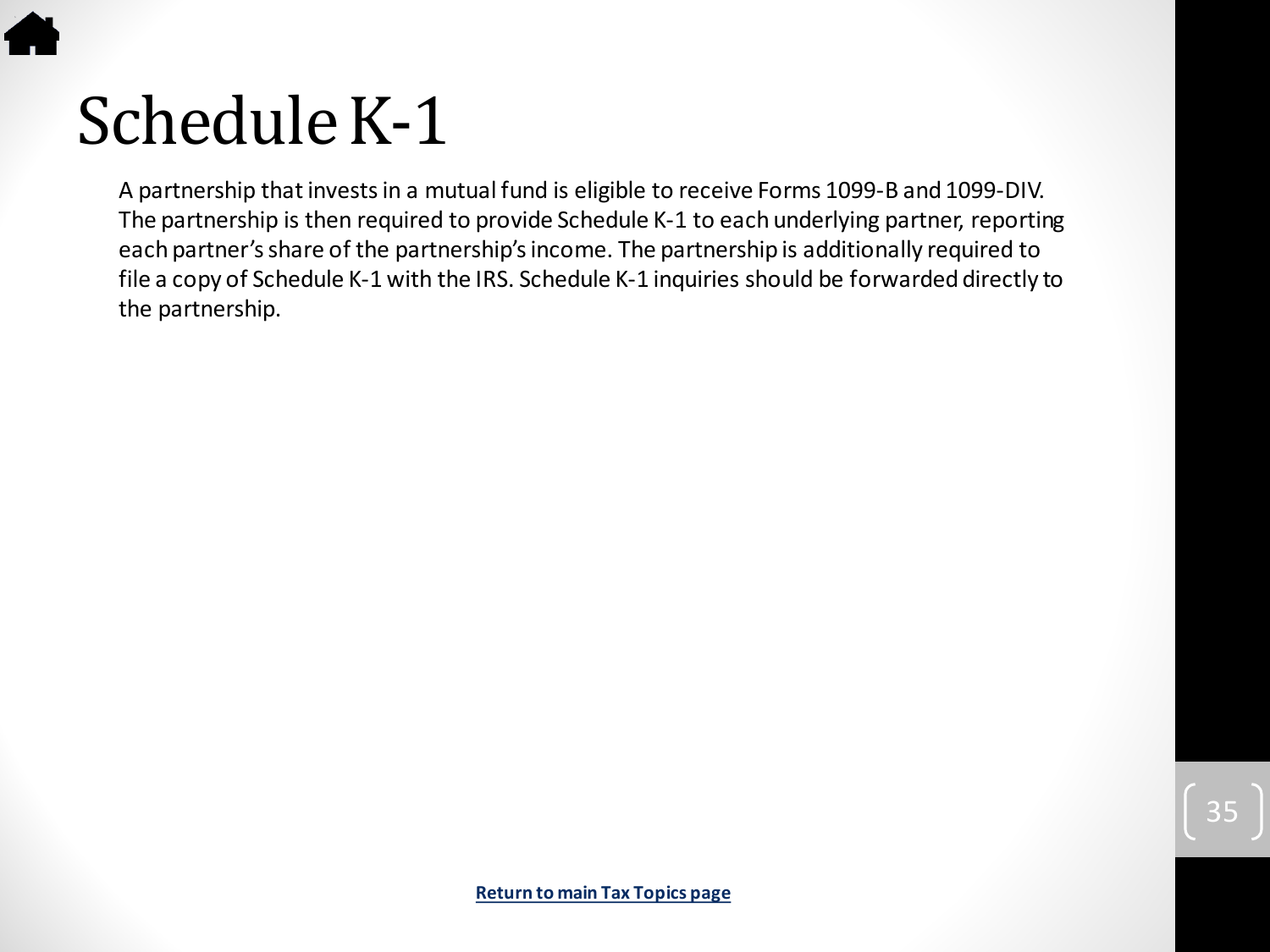

A partnership that invests in a mutual fund is eligible to receive Forms 1099-B and 1099-DIV. The partnership is then required to provide Schedule K-1 to each underlying partner, reporting each partner's share of the partnership's income. The partnership is additionally required to file a copy of Schedule K-1 with the IRS. Schedule K-1 inquiries should be forwarded directly to the partnership.